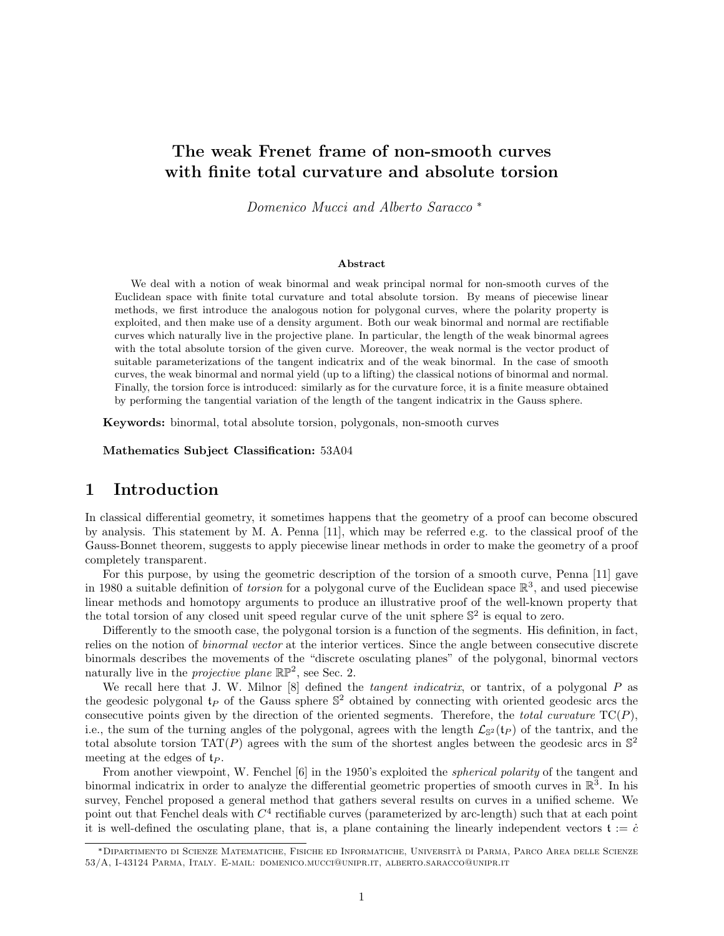# The weak Frenet frame of non-smooth curves with finite total curvature and absolute torsion

Domenico Mucci and Alberto Saracco \*

#### Abstract

We deal with a notion of weak binormal and weak principal normal for non-smooth curves of the Euclidean space with finite total curvature and total absolute torsion. By means of piecewise linear methods, we first introduce the analogous notion for polygonal curves, where the polarity property is exploited, and then make use of a density argument. Both our weak binormal and normal are rectifiable curves which naturally live in the projective plane. In particular, the length of the weak binormal agrees with the total absolute torsion of the given curve. Moreover, the weak normal is the vector product of suitable parameterizations of the tangent indicatrix and of the weak binormal. In the case of smooth curves, the weak binormal and normal yield (up to a lifting) the classical notions of binormal and normal. Finally, the torsion force is introduced: similarly as for the curvature force, it is a finite measure obtained by performing the tangential variation of the length of the tangent indicatrix in the Gauss sphere.

Keywords: binormal, total absolute torsion, polygonals, non-smooth curves

Mathematics Subject Classification: 53A04

# 1 Introduction

In classical differential geometry, it sometimes happens that the geometry of a proof can become obscured by analysis. This statement by M. A. Penna [11], which may be referred e.g. to the classical proof of the Gauss-Bonnet theorem, suggests to apply piecewise linear methods in order to make the geometry of a proof completely transparent.

For this purpose, by using the geometric description of the torsion of a smooth curve, Penna [11] gave in 1980 a suitable definition of *torsion* for a polygonal curve of the Euclidean space  $\mathbb{R}^3$ , and used piecewise linear methods and homotopy arguments to produce an illustrative proof of the well-known property that the total torsion of any closed unit speed regular curve of the unit sphere  $\mathbb{S}^2$  is equal to zero.

Differently to the smooth case, the polygonal torsion is a function of the segments. His definition, in fact, relies on the notion of binormal vector at the interior vertices. Since the angle between consecutive discrete binormals describes the movements of the "discrete osculating planes" of the polygonal, binormal vectors naturally live in the *projective plane*  $\mathbb{RP}^2$ , see Sec. 2.

We recall here that J. W. Milnor  $[8]$  defined the *tangent indicatrix*, or tantrix, of a polygonal  $P$  as the geodesic polygonal  $t_P$  of the Gauss sphere  $\mathbb{S}^2$  obtained by connecting with oriented geodesic arcs the consecutive points given by the direction of the oriented segments. Therefore, the total curvature  $TC(P)$ , i.e., the sum of the turning angles of the polygonal, agrees with the length  $\mathcal{L}_{\mathbb{S}^2}(t_P)$  of the tantrix, and the total absolute torsion  $TAT(P)$  agrees with the sum of the shortest angles between the geodesic arcs in  $\mathbb{S}^2$ meeting at the edges of  $t_P$ .

From another viewpoint, W. Fenchel [6] in the 1950's exploited the spherical polarity of the tangent and binormal indicatrix in order to analyze the differential geometric properties of smooth curves in  $\mathbb{R}^3$ . In his survey, Fenchel proposed a general method that gathers several results on curves in a unified scheme. We point out that Fenchel deals with  $C<sup>4</sup>$  rectifiable curves (parameterized by arc-length) such that at each point it is well-defined the osculating plane, that is, a plane containing the linearly independent vectors  $\mathfrak{t} := \dot{c}$ 

<sup>\*</sup>Dipartimento di Scienze Matematiche, Fisiche ed Informatiche, Universita di Parma, Parco Area delle Scienze ` 53/A, I-43124 Parma, Italy. E-mail: domenico.mucci@unipr.it, alberto.saracco@unipr.it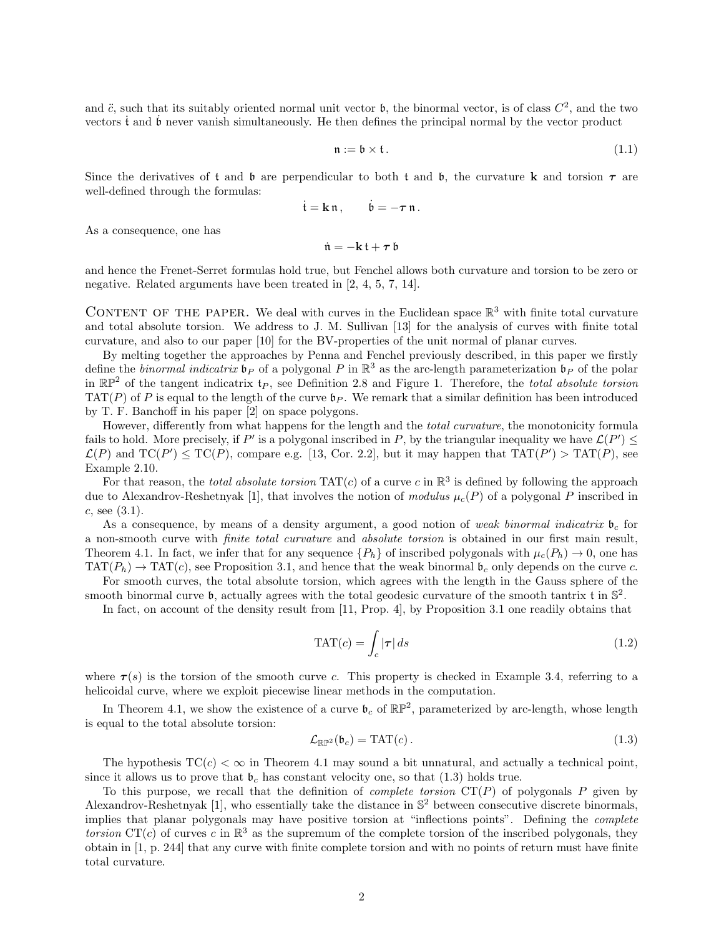and  $\ddot{c}$ , such that its suitably oriented normal unit vector  $\mathfrak{b}$ , the binormal vector, is of class  $C^2$ , and the two vectors  $\dot{\mathbf{t}}$  and  $\dot{\mathbf{b}}$  never vanish simultaneously. He then defines the principal normal by the vector product

$$
\mathfrak{n} := \mathfrak{b} \times \mathfrak{t} \,. \tag{1.1}
$$

Since the derivatives of t and b are perpendicular to both t and b, the curvature k and torsion  $\tau$  are well-defined through the formulas:

$$
\dot{\mathfrak{t}} = \mathbf{k}\,\mathfrak{n}\,,\qquad \dot{\mathfrak{b}} = -\boldsymbol{\tau}\,\mathfrak{n}\,.
$$

As a consequence, one has

 $\dot{\mathfrak{n}} = -\mathbf{k} \, \mathfrak{t} + \boldsymbol{\tau} \, \mathfrak{b}$ 

and hence the Frenet-Serret formulas hold true, but Fenchel allows both curvature and torsion to be zero or negative. Related arguments have been treated in [2, 4, 5, 7, 14].

CONTENT OF THE PAPER. We deal with curves in the Euclidean space  $\mathbb{R}^3$  with finite total curvature and total absolute torsion. We address to J. M. Sullivan [13] for the analysis of curves with finite total curvature, and also to our paper [10] for the BV-properties of the unit normal of planar curves.

By melting together the approaches by Penna and Fenchel previously described, in this paper we firstly define the *binormal indicatrix*  $\mathfrak{b}_P$  of a polygonal P in  $\mathbb{R}^3$  as the arc-length parameterization  $\mathfrak{b}_P$  of the polar in  $\mathbb{RP}^2$  of the tangent indicatrix  $t_P$ , see Definition 2.8 and Figure 1. Therefore, the total absolute torsion  $TAT(P)$  of P is equal to the length of the curve  $\mathfrak{b}_P$ . We remark that a similar definition has been introduced by T. F. Banchoff in his paper [2] on space polygons.

However, differently from what happens for the length and the total curvature, the monotonicity formula fails to hold. More precisely, if P' is a polygonal inscribed in P, by the triangular inequality we have  $\mathcal{L}(P') \leq$  $\mathcal{L}(P)$  and  $TC(P') \le TC(P)$ , compare e.g. [13, Cor. 2.2], but it may happen that  $TAT(P') > TAT(P)$ , see Example 2.10.

For that reason, the *total absolute torsion*  $TAT(c)$  of a curve c in  $\mathbb{R}^3$  is defined by following the approach due to Alexandrov-Reshetnyak [1], that involves the notion of modulus  $\mu_c(P)$  of a polygonal P inscribed in  $c, \text{see } (3.1).$ 

As a consequence, by means of a density argument, a good notion of weak binormal indicatrix  $\mathfrak{b}_c$  for a non-smooth curve with finite total curvature and absolute torsion is obtained in our first main result, Theorem 4.1. In fact, we infer that for any sequence  $\{P_h\}$  of inscribed polygonals with  $\mu_c(P_h) \to 0$ , one has  $TAT(P_h) \rightarrow TAT(c)$ , see Proposition 3.1, and hence that the weak binormal  $\mathfrak{b}_c$  only depends on the curve c.

For smooth curves, the total absolute torsion, which agrees with the length in the Gauss sphere of the smooth binormal curve  $\mathfrak b$ , actually agrees with the total geodesic curvature of the smooth tantrix  $\mathfrak t$  in  $\mathbb S^2$ .

In fact, on account of the density result from [11, Prop. 4], by Proposition 3.1 one readily obtains that

$$
\text{TAT}(c) = \int_c |\boldsymbol{\tau}| \, ds \tag{1.2}
$$

where  $\tau(s)$  is the torsion of the smooth curve c. This property is checked in Example 3.4, referring to a helicoidal curve, where we exploit piecewise linear methods in the computation.

In Theorem 4.1, we show the existence of a curve  $\mathfrak{b}_c$  of  $\mathbb{RP}^2$ , parameterized by arc-length, whose length is equal to the total absolute torsion:

$$
\mathcal{L}_{\mathbb{R}\mathbb{P}^2}(\mathfrak{b}_c) = \text{TAT}(c). \tag{1.3}
$$

The hypothesis  $TC(c) < \infty$  in Theorem 4.1 may sound a bit unnatural, and actually a technical point, since it allows us to prove that  $\mathfrak{b}_c$  has constant velocity one, so that (1.3) holds true.

To this purpose, we recall that the definition of *complete torsion*  $CT(P)$  of polygonals P given by Alexandrov-Reshetnyak [1], who essentially take the distance in  $\mathbb{S}^2$  between consecutive discrete binormals, implies that planar polygonals may have positive torsion at "inflections points". Defining the complete torsion  $CT(c)$  of curves c in  $\mathbb{R}^3$  as the supremum of the complete torsion of the inscribed polygonals, they obtain in [1, p. 244] that any curve with finite complete torsion and with no points of return must have finite total curvature.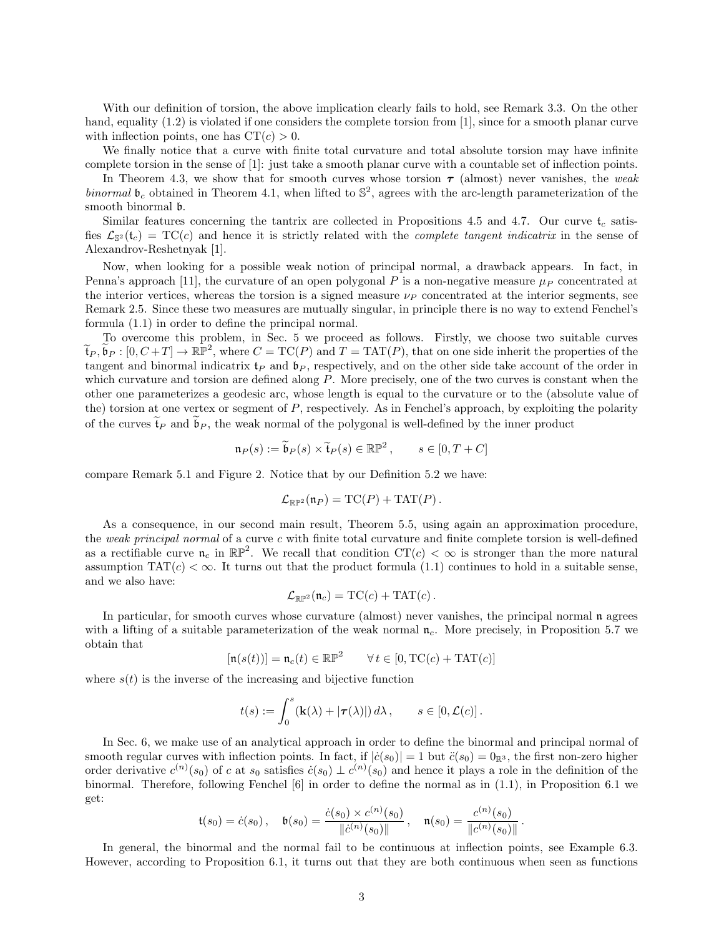With our definition of torsion, the above implication clearly fails to hold, see Remark 3.3. On the other hand, equality (1.2) is violated if one considers the complete torsion from [1], since for a smooth planar curve with inflection points, one has  $CT(c) > 0$ .

We finally notice that a curve with finite total curvature and total absolute torsion may have infinite complete torsion in the sense of [1]: just take a smooth planar curve with a countable set of inflection points.

In Theorem 4.3, we show that for smooth curves whose torsion  $\tau$  (almost) never vanishes, the weak binormal  $\mathfrak{b}_c$  obtained in Theorem 4.1, when lifted to  $\mathbb{S}^2$ , agrees with the arc-length parameterization of the smooth binormal b.

Similar features concerning the tantrix are collected in Propositions 4.5 and 4.7. Our curve  $t_c$  satisfies  $\mathcal{L}_{\mathbb{S}^2}(\mathfrak{t}_c) = \text{TC}(c)$  and hence it is strictly related with the *complete tangent indicatrix* in the sense of Alexandrov-Reshetnyak [1].

Now, when looking for a possible weak notion of principal normal, a drawback appears. In fact, in Penna's approach [11], the curvature of an open polygonal P is a non-negative measure  $\mu_P$  concentrated at the interior vertices, whereas the torsion is a signed measure  $\nu_P$  concentrated at the interior segments, see Remark 2.5. Since these two measures are mutually singular, in principle there is no way to extend Fenchel's formula (1.1) in order to define the principal normal.

To overcome this problem, in Sec. 5 we proceed as follows. Firstly, we choose two suitable curves  $\widetilde{\mathfrak{t}}_P, \widetilde{\mathfrak{b}}_P : [0, C + T] \to \mathbb{RP}^2$ , where  $C = \mathrm{TC}(P)$  and  $T = \mathrm{TAT}(P)$ , that on one side inherit the properties of the tangent and binormal indicatrix  $\mathfrak{t}_P$  and  $\mathfrak{b}_P$ , respectively, and on the other side take account of the order in which curvature and torsion are defined along P. More precisely, one of the two curves is constant when the other one parameterizes a geodesic arc, whose length is equal to the curvature or to the (absolute value of the) torsion at one vertex or segment of  $P$ , respectively. As in Fenchel's approach, by exploiting the polarity of the curves  $\tilde{\mathfrak{t}}_P$  and  $\mathfrak{b}_P$ , the weak normal of the polygonal is well-defined by the inner product

$$
\mathfrak{n}_P(s) := \widetilde{\mathfrak{b}}_P(s) \times \widetilde{\mathfrak{t}}_P(s) \in \mathbb{RP}^2, \qquad s \in [0, T + C]
$$

compare Remark 5.1 and Figure 2. Notice that by our Definition 5.2 we have:

$$
\mathcal{L}_{\mathbb{RP}^2}(\mathfrak{n}_P) = \mathrm{TC}(P) + \mathrm{TAT}(P).
$$

As a consequence, in our second main result, Theorem 5.5, using again an approximation procedure, the weak principal normal of a curve c with finite total curvature and finite complete torsion is well-defined as a rectifiable curve  $\mathfrak{n}_c$  in  $\mathbb{RP}^2$ . We recall that condition  $CT(c) < \infty$  is stronger than the more natural assumption  $TAT(c) < \infty$ . It turns out that the product formula (1.1) continues to hold in a suitable sense, and we also have:

$$
\mathcal{L}_{\mathbb{RP}^2}(\mathfrak{n}_c) = \mathrm{TC}(c) + \mathrm{TAT}(c).
$$

In particular, for smooth curves whose curvature (almost) never vanishes, the principal normal  $\mathfrak n$  agrees with a lifting of a suitable parameterization of the weak normal  $\mathfrak{n}_c$ . More precisely, in Proposition 5.7 we obtain that

$$
[\mathfrak{n}(s(t))] = \mathfrak{n}_c(t) \in \mathbb{RP}^2 \qquad \forall \, t \in [0, \mathrm{TC}(c) + \mathrm{TAT}(c)]
$$

where  $s(t)$  is the inverse of the increasing and bijective function

$$
t(s) := \int_0^s (\mathbf{k}(\lambda) + |\boldsymbol{\tau}(\lambda)|) d\lambda, \qquad s \in [0, \mathcal{L}(c)].
$$

In Sec. 6, we make use of an analytical approach in order to define the binormal and principal normal of smooth regular curves with inflection points. In fact, if  $|\dot{c}(s_0)| = 1$  but  $\ddot{c}(s_0) = 0_{\mathbb{R}^3}$ , the first non-zero higher order derivative  $c^{(n)}(s_0)$  of c at  $s_0$  satisfies  $\dot{c}(s_0) \perp c^{(n)}(s_0)$  and hence it plays a role in the definition of the binormal. Therefore, following Fenchel [6] in order to define the normal as in (1.1), in Proposition 6.1 we get:

$$
\mathfrak{t}(s_0) = \dot{c}(s_0), \quad \mathfrak{b}(s_0) = \frac{\dot{c}(s_0) \times c^{(n)}(s_0)}{\|\dot{c}^{(n)}(s_0)\|}, \quad \mathfrak{n}(s_0) = \frac{c^{(n)}(s_0)}{\|c^{(n)}(s_0)\|}.
$$

In general, the binormal and the normal fail to be continuous at inflection points, see Example 6.3. However, according to Proposition 6.1, it turns out that they are both continuous when seen as functions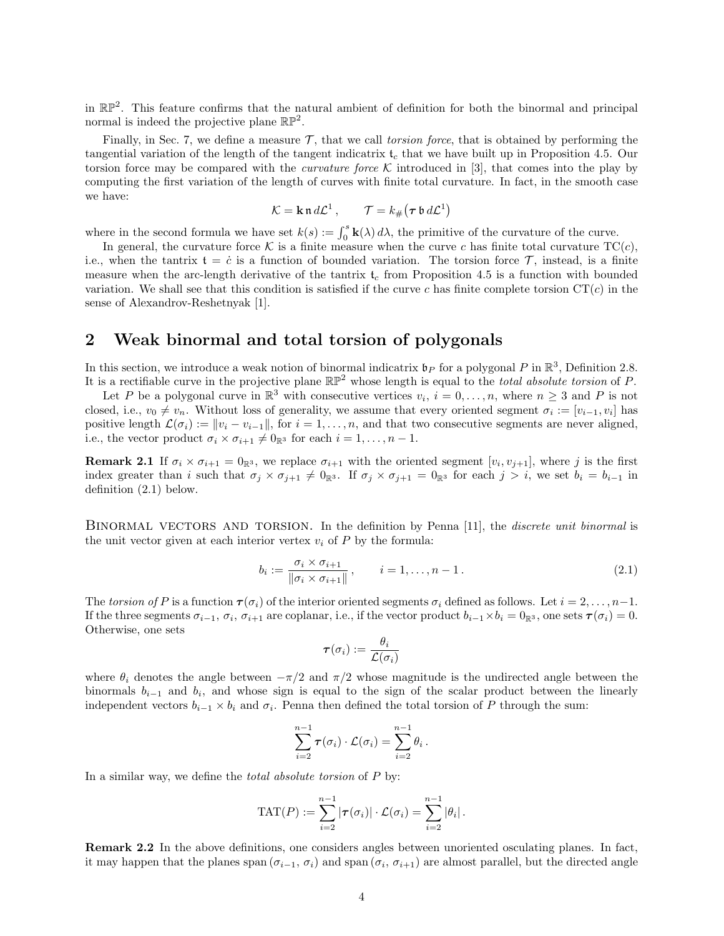in  $\mathbb{RP}^2$ . This feature confirms that the natural ambient of definition for both the binormal and principal normal is indeed the projective plane  $\mathbb{RP}^2$ .

Finally, in Sec. 7, we define a measure  $\mathcal{T}$ , that we call torsion force, that is obtained by performing the tangential variation of the length of the tangent indicatrix  $t_c$  that we have built up in Proposition 4.5. Our torsion force may be compared with the *curvature force* K introduced in [3], that comes into the play by computing the first variation of the length of curves with finite total curvature. In fact, in the smooth case we have:

$$
\mathcal{K} = \mathbf{k} \, \mathfrak{n} \, d\mathcal{L}^1 \,, \qquad \mathcal{T} = k_\# \big( \boldsymbol{\tau} \, \mathfrak{b} \, d\mathcal{L}^1 \big)
$$

where in the second formula we have set  $k(s) := \int_0^s \mathbf{k}(\lambda) d\lambda$ , the primitive of the curvature of the curve.

In general, the curvature force K is a finite measure when the curve c has finite total curvature  $TC(c)$ , i.e., when the tantrix  $t = \dot{c}$  is a function of bounded variation. The torsion force  $\mathcal{T}$ , instead, is a finite measure when the arc-length derivative of the tantrix  $t_c$  from Proposition 4.5 is a function with bounded variation. We shall see that this condition is satisfied if the curve c has finite complete torsion  $CT(c)$  in the sense of Alexandrov-Reshetnyak [1].

# 2 Weak binormal and total torsion of polygonals

In this section, we introduce a weak notion of binormal indicatrix  $\mathfrak{b}_P$  for a polygonal P in  $\mathbb{R}^3$ , Definition 2.8. It is a rectifiable curve in the projective plane  $\mathbb{RP}^2$  whose length is equal to the *total absolute torsion* of P.

Let P be a polygonal curve in  $\mathbb{R}^3$  with consecutive vertices  $v_i$ ,  $i = 0, \ldots, n$ , where  $n \geq 3$  and P is not closed, i.e.,  $v_0 \neq v_n$ . Without loss of generality, we assume that every oriented segment  $\sigma_i := [v_{i-1}, v_i]$  has positive length  $\mathcal{L}(\sigma_i) := ||v_i - v_{i-1}||$ , for  $i = 1, ..., n$ , and that two consecutive segments are never aligned, i.e., the vector product  $\sigma_i \times \sigma_{i+1} \neq 0_{\mathbb{R}^3}$  for each  $i = 1, \ldots, n-1$ .

**Remark 2.1** If  $\sigma_i \times \sigma_{i+1} = 0$ <sub>R</sub><sup>3</sup>, we replace  $\sigma_{i+1}$  with the oriented segment  $[v_i, v_{j+1}]$ , where j is the first index greater than i such that  $\sigma_j \times \sigma_{j+1} \neq 0_{\mathbb{R}^3}$ . If  $\sigma_j \times \sigma_{j+1} = 0_{\mathbb{R}^3}$  for each  $j > i$ , we set  $b_i = b_{i-1}$  in definition (2.1) below.

BINORMAL VECTORS AND TORSION. In the definition by Penna [11], the *discrete unit binormal* is the unit vector given at each interior vertex  $v_i$  of  $P$  by the formula:

$$
b_i := \frac{\sigma_i \times \sigma_{i+1}}{\|\sigma_i \times \sigma_{i+1}\|}, \qquad i = 1, \dots, n-1.
$$
\n
$$
(2.1)
$$

The torsion of P is a function  $\tau(\sigma_i)$  of the interior oriented segments  $\sigma_i$  defined as follows. Let  $i = 2, \ldots, n-1$ . If the three segments  $\sigma_{i-1}, \sigma_i, \sigma_{i+1}$  are coplanar, i.e., if the vector product  $b_{i-1} \times b_i = 0$ <sub>R</sub><sup>3</sup>, one sets  $\tau(\sigma_i) = 0$ . Otherwise, one sets

$$
\boldsymbol{\tau}(\sigma_i) := \frac{\theta_i}{\mathcal{L}(\sigma_i)}
$$

where  $\theta_i$  denotes the angle between  $-\pi/2$  and  $\pi/2$  whose magnitude is the undirected angle between the binormals  $b_{i-1}$  and  $b_i$ , and whose sign is equal to the sign of the scalar product between the linearly independent vectors  $b_{i-1} \times b_i$  and  $\sigma_i$ . Penna then defined the total torsion of P through the sum:

$$
\sum_{i=2}^{n-1} \tau(\sigma_i) \cdot \mathcal{L}(\sigma_i) = \sum_{i=2}^{n-1} \theta_i.
$$

In a similar way, we define the *total absolute torsion* of P by:

$$
\text{TAT}(P) := \sum_{i=2}^{n-1} |\boldsymbol{\tau}(\sigma_i)| \cdot \mathcal{L}(\sigma_i) = \sum_{i=2}^{n-1} |\theta_i|.
$$

Remark 2.2 In the above definitions, one considers angles between unoriented osculating planes. In fact, it may happen that the planes span  $(\sigma_{i-1}, \sigma_i)$  and span  $(\sigma_i, \sigma_{i+1})$  are almost parallel, but the directed angle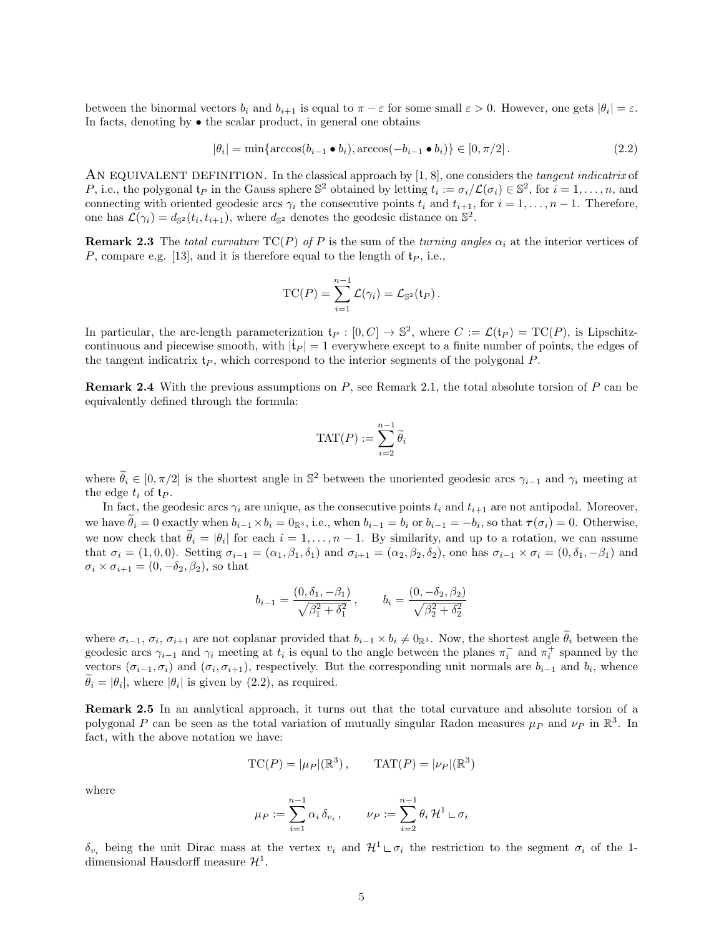between the binormal vectors  $b_i$  and  $b_{i+1}$  is equal to  $\pi - \varepsilon$  for some small  $\varepsilon > 0$ . However, one gets  $|\theta_i| = \varepsilon$ . In facts, denoting by • the scalar product, in general one obtains

$$
|\theta_i| = \min\{\arccos(b_{i-1} \bullet b_i), \arccos(-b_{i-1} \bullet b_i)\} \in [0, \pi/2]. \tag{2.2}
$$

AN EQUIVALENT DEFINITION. In the classical approach by  $[1, 8]$ , one considers the tangent indicatrix of P, i.e., the polygonal  $t_P$  in the Gauss sphere  $\mathbb{S}^2$  obtained by letting  $t_i := \sigma_i/\mathcal{L}(\sigma_i) \in \mathbb{S}^2$ , for  $i = 1, \ldots, n$ , and connecting with oriented geodesic arcs  $\gamma_i$  the consecutive points  $t_i$  and  $t_{i+1}$ , for  $i = 1, \ldots, n-1$ . Therefore, one has  $\mathcal{L}(\gamma_i) = d_{\mathbb{S}^2}(t_i, t_{i+1}),$  where  $d_{\mathbb{S}^2}$  denotes the geodesic distance on  $\mathbb{S}^2$ .

**Remark 2.3** The total curvature  $TC(P)$  of P is the sum of the turning angles  $\alpha_i$  at the interior vertices of P, compare e.g. [13], and it is therefore equal to the length of  $t_P$ , i.e.,

$$
TC(P) = \sum_{i=1}^{n-1} \mathcal{L}(\gamma_i) = \mathcal{L}_{\mathbb{S}^2}(\mathfrak{t}_P).
$$

In particular, the arc-length parameterization  $\mathfrak{t}_P : [0, C] \to \mathbb{S}^2$ , where  $C := \mathcal{L}(\mathfrak{t}_P) = \text{TC}(P)$ , is Lipschitzcontinuous and piecewise smooth, with  $|\dot{\mathbf{t}}_P| = 1$  everywhere except to a finite number of points, the edges of the tangent indicatrix  $t_P$ , which correspond to the interior segments of the polygonal  $P$ .

**Remark 2.4** With the previous assumptions on  $P$ , see Remark 2.1, the total absolute torsion of  $P$  can be equivalently defined through the formula:

$$
\text{TAT}(P) := \sum_{i=2}^{n-1} \widetilde{\theta}_i
$$

where  $\widetilde{\theta}_i \in [0, \pi/2]$  is the shortest angle in  $\mathbb{S}^2$  between the unoriented geodesic arcs  $\gamma_{i-1}$  and  $\gamma_i$  meeting at the edge  $t_i$  of  $t_P$ .

In fact, the geodesic arcs  $\gamma_i$  are unique, as the consecutive points  $t_i$  and  $t_{i+1}$  are not antipodal. Moreover, we have  $\theta_i = 0$  exactly when  $b_{i-1} \times b_i = 0$ <sub>R3</sub>, i.e., when  $b_{i-1} = b_i$  or  $b_{i-1} = -b_i$ , so that  $\tau(\sigma_i) = 0$ . Otherwise, we now check that  $\theta_i = |\theta_i|$  for each  $i = 1, \ldots, n-1$ . By similarity, and up to a rotation, we can assume that  $\sigma_i = (1, 0, 0)$ . Setting  $\sigma_{i-1} = (\alpha_1, \beta_1, \delta_1)$  and  $\sigma_{i+1} = (\alpha_2, \beta_2, \delta_2)$ , one has  $\sigma_{i-1} \times \sigma_i = (0, \delta_1, -\beta_1)$  and  $\sigma_i \times \sigma_{i+1} = (0, -\delta_2, \beta_2)$ , so that

$$
b_{i-1} = \frac{(0, \delta_1, -\beta_1)}{\sqrt{\beta_1^2 + \delta_1^2}}, \qquad b_i = \frac{(0, -\delta_2, \beta_2)}{\sqrt{\beta_2^2 + \delta_2^2}}
$$

where  $\sigma_{i-1}, \sigma_i, \sigma_{i+1}$  are not coplanar provided that  $b_{i-1} \times b_i \neq 0$ <sup>3</sup>. Now, the shortest angle  $\theta_i$  between the geodesic arcs  $\gamma_{i-1}$  and  $\gamma_i$  meeting at  $t_i$  is equal to the angle between the planes  $\pi_i^-$  and  $\pi_i^+$  spanned by the vectors  $(\sigma_{i-1}, \sigma_i)$  and  $(\sigma_i, \sigma_{i+1})$ , respectively. But the corresponding unit normals are  $b_{i-1}$  and  $b_i$ , whence  $\theta_i = |\theta_i|$ , where  $|\theta_i|$  is given by (2.2), as required.

Remark 2.5 In an analytical approach, it turns out that the total curvature and absolute torsion of a polygonal P can be seen as the total variation of mutually singular Radon measures  $\mu_P$  and  $\nu_P$  in  $\mathbb{R}^3$ . In fact, with the above notation we have:

$$
TC(P) = |\mu_P|(\mathbb{R}^3), \qquad TAT(P) = |\nu_P|(\mathbb{R}^3)
$$

where

$$
\mu_P := \sum_{i=1}^{n-1} \alpha_i \, \delta_{v_i} \,, \qquad \nu_P := \sum_{i=2}^{n-1} \theta_i \, \mathcal{H}^1 \sqcup \sigma_i
$$

 $\delta_{v_i}$  being the unit Dirac mass at the vertex  $v_i$  and  $\mathcal{H}^1 \cup \sigma_i$  the restriction to the segment  $\sigma_i$  of the 1dimensional Hausdorff measure  $\mathcal{H}^1$ .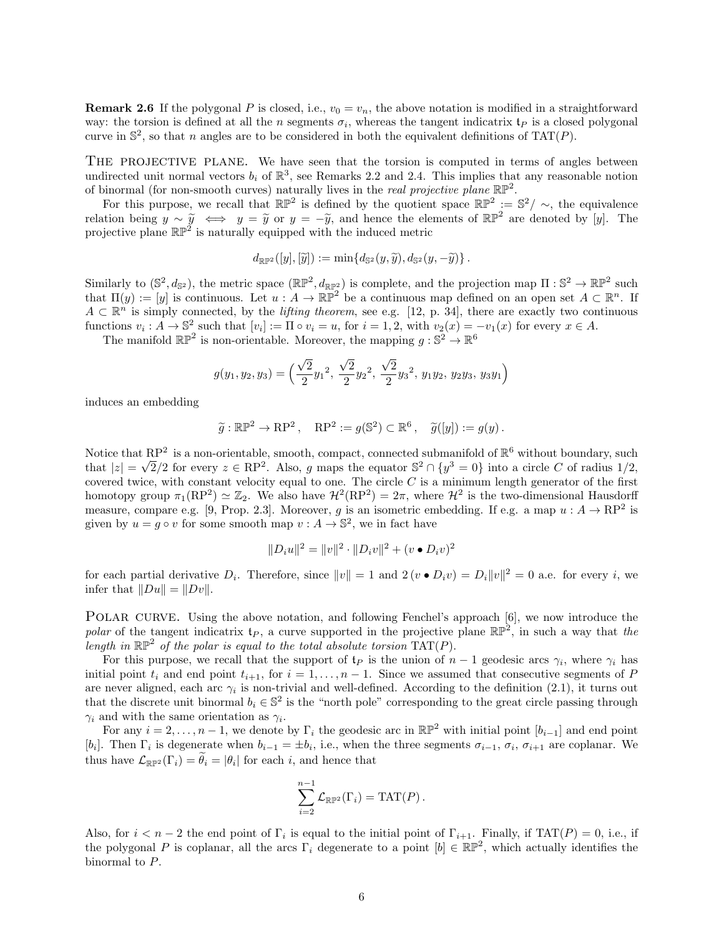**Remark 2.6** If the polygonal P is closed, i.e.,  $v_0 = v_n$ , the above notation is modified in a straightforward way: the torsion is defined at all the *n* segments  $\sigma_i$ , whereas the tangent indicatrix  $\mathfrak{t}_P$  is a closed polygonal curve in  $\mathbb{S}^2$ , so that n angles are to be considered in both the equivalent definitions of TAT(P).

THE PROJECTIVE PLANE. We have seen that the torsion is computed in terms of angles between undirected unit normal vectors  $b_i$  of  $\mathbb{R}^3$ , see Remarks 2.2 and 2.4. This implies that any reasonable notion of binormal (for non-smooth curves) naturally lives in the *real projective plane*  $\mathbb{RP}^2$ .

For this purpose, we recall that  $\mathbb{RP}^2$  is defined by the quotient space  $\mathbb{RP}^2 := \mathbb{S}^2 / \sim$ , the equivalence relation being  $y \sim \tilde{y} \iff y = \tilde{y}$  or  $y = -\tilde{y}$ , and hence the elements of  $\mathbb{RP}^2$  are denoted by [y]. The projective plane  $\mathbb{RP}^2$  is naturally equipped with the induced metric

$$
d_{\mathbb{RP}^2}([y], [\widetilde{y}]) := \min\{d_{\mathbb{S}^2}(y, \widetilde{y}), d_{\mathbb{S}^2}(y, -\widetilde{y})\}.
$$

Similarly to  $(\mathbb{S}^2, d_{\mathbb{S}^2})$ , the metric space  $(\mathbb{RP}^2, d_{\mathbb{RP}^2})$  is complete, and the projection map  $\Pi : \mathbb{S}^2 \to \mathbb{RP}^2$  such that  $\Pi(y) := [y]$  is continuous. Let  $u : A \to \mathbb{RP}^2$  be a continuous map defined on an open set  $A \subset \mathbb{R}^n$ . If  $A \subset \mathbb{R}^n$  is simply connected, by the *lifting theorem*, see e.g. [12, p. 34], there are exactly two continuous functions  $v_i: A \to \mathbb{S}^2$  such that  $[v_i] := \Pi \circ v_i = u$ , for  $i = 1, 2$ , with  $v_2(x) = -v_1(x)$  for every  $x \in A$ .

The manifold  $\mathbb{RP}^2$  is non-orientable. Moreover, the mapping  $g : \mathbb{S}^2 \to \mathbb{R}^6$ 

$$
g(y_1, y_2, y_3) = \left(\frac{\sqrt{2}}{2}y_1^2, \frac{\sqrt{2}}{2}y_2^2, \frac{\sqrt{2}}{2}y_3^2, y_1y_2, y_2y_3, y_3y_1\right)
$$

induces an embedding

$$
\widetilde{g}: \mathbb{RP}^2 \to \mathbb{RP}^2
$$
,  $\mathbb{RP}^2 := g(\mathbb{S}^2) \subset \mathbb{R}^6$ ,  $\widetilde{g}([y]) := g(y)$ .

Notice that  $\mathbb{R}P^2$  is a non-orientable, smooth, compact, connected submanifold of  $\mathbb{R}^6$  without boundary, such that  $|z| = \sqrt{2}/2$  for every  $z \in \mathbb{RP}^2$ . Also, g maps the equator  $\mathbb{S}^2 \cap \{y^3 = 0\}$  into a circle C of radius  $1/2$ , covered twice, with constant velocity equal to one. The circle  $C$  is a minimum length generator of the first homotopy group  $\pi_1(\text{RP}^2) \simeq \mathbb{Z}_2$ . We also have  $\mathcal{H}^2(\text{RP}^2) = 2\pi$ , where  $\mathcal{H}^2$  is the two-dimensional Hausdorff measure, compare e.g. [9, Prop. 2.3]. Moreover, g is an isometric embedding. If e.g. a map  $u : A \to \mathrm{RP}^2$  is given by  $u = g \circ v$  for some smooth map  $v : A \to \mathbb{S}^2$ , we in fact have

$$
||D_i u||^2 = ||v||^2 \cdot ||D_i v||^2 + (v \bullet D_i v)^2
$$

for each partial derivative  $D_i$ . Therefore, since  $||v|| = 1$  and  $2(v \bullet D_i v) = D_i ||v||^2 = 0$  a.e. for every i, we infer that  $||Du|| = ||Dv||$ .

POLAR CURVE. Using the above notation, and following Fenchel's approach [6], we now introduce the polar of the tangent indicatrix  $t_P$ , a curve supported in the projective plane  $\mathbb{RP}^2$ , in such a way that the length in  $\mathbb{RP}^2$  of the polar is equal to the total absolute torsion  $TAT(P)$ .

For this purpose, we recall that the support of  $\mathfrak{t}_P$  is the union of  $n-1$  geodesic arcs  $\gamma_i$ , where  $\gamma_i$  has initial point  $t_i$  and end point  $t_{i+1}$ , for  $i = 1, ..., n-1$ . Since we assumed that consecutive segments of P are never aligned, each arc  $\gamma_i$  is non-trivial and well-defined. According to the definition (2.1), it turns out that the discrete unit binormal  $b_i \in \mathbb{S}^2$  is the "north pole" corresponding to the great circle passing through  $\gamma_i$  and with the same orientation as  $\gamma_i$ .

For any  $i = 2, \ldots, n-1$ , we denote by  $\Gamma_i$  the geodesic arc in  $\mathbb{RP}^2$  with initial point  $[b_{i-1}]$  and end point [b<sub>i</sub>]. Then  $\Gamma_i$  is degenerate when  $b_{i-1} = \pm b_i$ , i.e., when the three segments  $\sigma_{i-1}$ ,  $\sigma_i$ ,  $\sigma_{i+1}$  are coplanar. We thus have  $\mathcal{L}_{\mathbb{RP}^2}(\Gamma_i) = \theta_i = |\theta_i|$  for each *i*, and hence that

$$
\sum_{i=2}^{n-1} \mathcal{L}_{\mathbb{RP}^2}(\Gamma_i) = \text{TAT}(P) .
$$

Also, for  $i < n-2$  the end point of  $\Gamma_i$  is equal to the initial point of  $\Gamma_{i+1}$ . Finally, if  $TAT(P) = 0$ , i.e., if the polygonal P is coplanar, all the arcs  $\Gamma_i$  degenerate to a point  $[b] \in \mathbb{RP}^2$ , which actually identifies the binormal to P.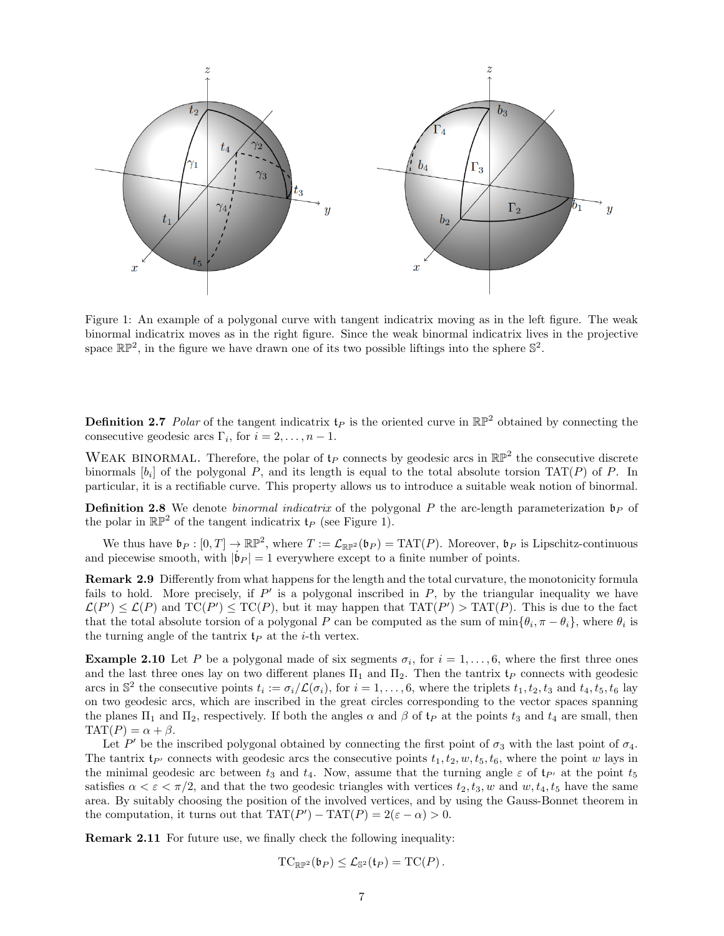

Figure 1: An example of a polygonal curve with tangent indicatrix moving as in the left figure. The weak binormal indicatrix moves as in the right figure. Since the weak binormal indicatrix lives in the projective space  $\mathbb{RP}^2$ , in the figure we have drawn one of its two possible liftings into the sphere  $\mathbb{S}^2$ .

**Definition 2.7** Polar of the tangent indicatrix  $f_P$  is the oriented curve in  $\mathbb{RP}^2$  obtained by connecting the consecutive geodesic arcs  $\Gamma_i$ , for  $i = 2, \ldots, n - 1$ .

WEAK BINORMAL. Therefore, the polar of  $t_P$  connects by geodesic arcs in  $\mathbb{RP}^2$  the consecutive discrete binormals  $[b_i]$  of the polygonal P, and its length is equal to the total absolute torsion TAT(P) of P. In particular, it is a rectifiable curve. This property allows us to introduce a suitable weak notion of binormal.

**Definition 2.8** We denote *binormal indicatrix* of the polygonal P the arc-length parameterization  $\mathfrak{b}_P$  of the polar in  $\mathbb{RP}^2$  of the tangent indicatrix  $\mathfrak{t}_P$  (see Figure 1).

We thus have  $\mathfrak{b}_P : [0, T] \to \mathbb{RP}^2$ , where  $T := \mathcal{L}_{\mathbb{RP}^2}(\mathfrak{b}_P) = \text{TAT}(P)$ . Moreover,  $\mathfrak{b}_P$  is Lipschitz-continuous and piecewise smooth, with  $|\dot{\mathbf{b}}_P| = 1$  everywhere except to a finite number of points.

Remark 2.9 Differently from what happens for the length and the total curvature, the monotonicity formula fails to hold. More precisely, if  $P'$  is a polygonal inscribed in  $P$ , by the triangular inequality we have  $\mathcal{L}(P') \leq \mathcal{L}(P)$  and  $TC(P') \leq TC(P)$ , but it may happen that  $TAT(P') > TAT(P)$ . This is due to the fact that the total absolute torsion of a polygonal P can be computed as the sum of  $\min\{\theta_i, \pi - \theta_i\}$ , where  $\theta_i$  is the turning angle of the tantrix  $\mathfrak{t}_P$  at the *i*-th vertex.

**Example 2.10** Let P be a polygonal made of six segments  $\sigma_i$ , for  $i = 1, \ldots, 6$ , where the first three ones and the last three ones lay on two different planes  $\Pi_1$  and  $\Pi_2$ . Then the tantrix  $\mathfrak{t}_P$  connects with geodesic arcs in  $\mathbb{S}^2$  the consecutive points  $t_i := \sigma_i/\mathcal{L}(\sigma_i)$ , for  $i = 1, \ldots, 6$ , where the triplets  $t_1, t_2, t_3$  and  $t_4, t_5, t_6$  lay on two geodesic arcs, which are inscribed in the great circles corresponding to the vector spaces spanning the planes  $\Pi_1$  and  $\Pi_2$ , respectively. If both the angles  $\alpha$  and  $\beta$  of  $t_P$  at the points  $t_3$  and  $t_4$  are small, then  $TAT(P) = \alpha + \beta.$ 

Let P' be the inscribed polygonal obtained by connecting the first point of  $\sigma_3$  with the last point of  $\sigma_4$ . The tantrix  $t_{P'}$  connects with geodesic arcs the consecutive points  $t_1, t_2, w, t_5, t_6$ , where the point w lays in the minimal geodesic arc between  $t_3$  and  $t_4$ . Now, assume that the turning angle  $\varepsilon$  of  $t_{P'}$  at the point  $t_5$ satisfies  $\alpha < \varepsilon < \pi/2$ , and that the two geodesic triangles with vertices  $t_2, t_3, w$  and  $w, t_4, t_5$  have the same area. By suitably choosing the position of the involved vertices, and by using the Gauss-Bonnet theorem in the computation, it turns out that  $TAT(P') - TAT(P) = 2(\varepsilon - \alpha) > 0$ .

Remark 2.11 For future use, we finally check the following inequality:

$$
\mathrm{TC}_{\mathbb{RP}^2}(\mathfrak{b}_P) \leq \mathcal{L}_{\mathbb{S}^2}(\mathfrak{t}_P) = \mathrm{TC}(P)\,.
$$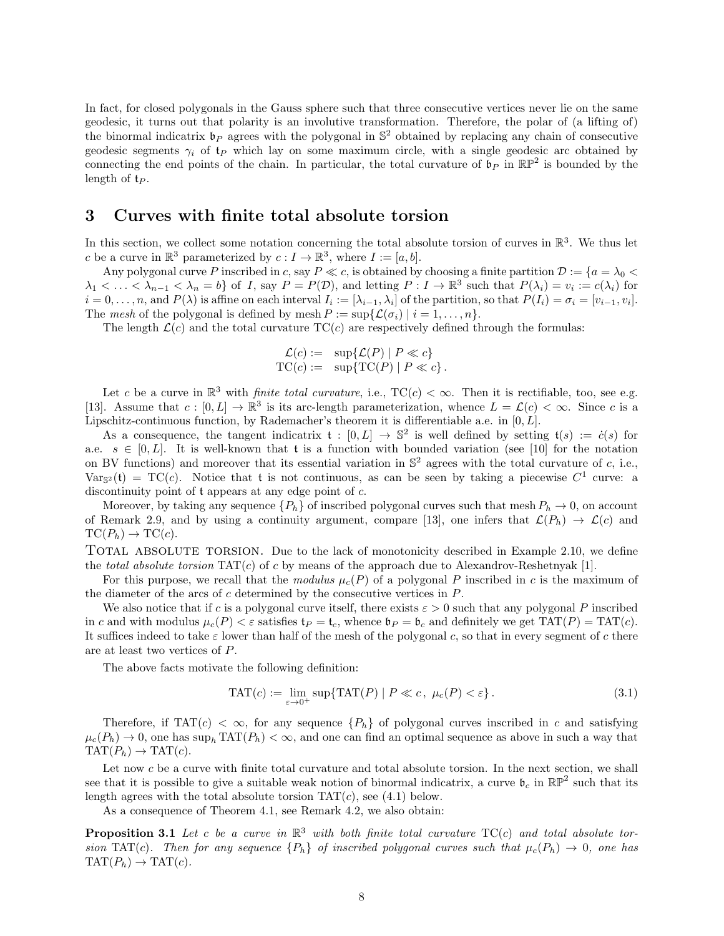In fact, for closed polygonals in the Gauss sphere such that three consecutive vertices never lie on the same geodesic, it turns out that polarity is an involutive transformation. Therefore, the polar of (a lifting of) the binormal indicatrix  $\mathfrak{b}_P$  agrees with the polygonal in  $\mathbb{S}^2$  obtained by replacing any chain of consecutive geodesic segments  $\gamma_i$  of  $t_P$  which lay on some maximum circle, with a single geodesic arc obtained by connecting the end points of the chain. In particular, the total curvature of  $\mathfrak{b}_P$  in  $\mathbb{RP}^2$  is bounded by the length of  $t_P$ .

# 3 Curves with finite total absolute torsion

In this section, we collect some notation concerning the total absolute torsion of curves in  $\mathbb{R}^3$ . We thus let c be a curve in  $\mathbb{R}^3$  parameterized by  $c: I \to \mathbb{R}^3$ , where  $I := [a, b]$ .

Any polygonal curve P inscribed in c, say  $P \ll c$ , is obtained by choosing a finite partition  $D := \{a = \lambda_0 \ll c\}$  $\lambda_1 < \ldots < \lambda_{n-1} < \lambda_n = b$  of I, say  $P = P(\mathcal{D})$ , and letting  $P: I \to \mathbb{R}^3$  such that  $P(\lambda_i) = v_i := c(\lambda_i)$  for  $i = 0, \ldots, n$ , and  $P(\lambda)$  is affine on each interval  $I_i := [\lambda_{i-1}, \lambda_i]$  of the partition, so that  $P(I_i) = \sigma_i = [v_{i-1}, v_i]$ . The mesh of the polygonal is defined by mesh  $P := \sup \{ \mathcal{L}(\sigma_i) \mid i = 1, \ldots, n \}.$ 

The length  $\mathcal{L}(c)$  and the total curvature TC(c) are respectively defined through the formulas:

$$
\mathcal{L}(c) := \sup \{ \mathcal{L}(P) \mid P \ll c \}
$$
  
TC(c) := 
$$
\sup \{ TC(P) \mid P \ll c \}.
$$

Let c be a curve in  $\mathbb{R}^3$  with *finite total curvature*, i.e.,  $TC(c) < \infty$ . Then it is rectifiable, too, see e.g. [13]. Assume that  $c : [0, L] \to \mathbb{R}^3$  is its arc-length parameterization, whence  $L = \mathcal{L}(c) < \infty$ . Since c is a Lipschitz-continuous function, by Rademacher's theorem it is differentiable a.e. in [0, L].

As a consequence, the tangent indicatrix  $\mathfrak{t} : [0, L] \to \mathbb{S}^2$  is well defined by setting  $\mathfrak{t}(s) := \dot{c}(s)$  for a.e.  $s \in [0, L]$ . It is well-known that t is a function with bounded variation (see [10] for the notation on BV functions) and moreover that its essential variation in  $\mathbb{S}^2$  agrees with the total curvature of c, i.e.,  $Var_{\mathbb{S}^2}(\mathfrak{t}) = TC(c)$ . Notice that t is not continuous, as can be seen by taking a piecewise  $C^1$  curve: a discontinuity point of t appears at any edge point of c.

Moreover, by taking any sequence  ${P_h}$  of inscribed polygonal curves such that mesh  $P_h \to 0$ , on account of Remark 2.9, and by using a continuity argument, compare [13], one infers that  $\mathcal{L}(P_h) \to \mathcal{L}(c)$  and  $TC(P_h) \rightarrow TC(c).$ 

TOTAL ABSOLUTE TORSION. Due to the lack of monotonicity described in Example 2.10, we define the total absolute torsion  $TAT(c)$  of c by means of the approach due to Alexandrov-Reshetnyak [1].

For this purpose, we recall that the modulus  $\mu_c(P)$  of a polygonal P inscribed in c is the maximum of the diameter of the arcs of c determined by the consecutive vertices in P.

We also notice that if c is a polygonal curve itself, there exists  $\varepsilon > 0$  such that any polygonal P inscribed in c and with modulus  $\mu_c(P) < \varepsilon$  satisfies  $\mathfrak{t}_P = \mathfrak{t}_c$ , whence  $\mathfrak{b}_P = \mathfrak{b}_c$  and definitely we get  $TAT(P) = TAT(c)$ . It suffices indeed to take  $\varepsilon$  lower than half of the mesh of the polygonal c, so that in every segment of c there are at least two vertices of P.

The above facts motivate the following definition:

$$
TAT(c) := \lim_{\varepsilon \to 0^+} \sup \{ TAT(P) \mid P \ll c, \ \mu_c(P) < \varepsilon \}. \tag{3.1}
$$

Therefore, if TAT $(c) < \infty$ , for any sequence  ${P_h}$  of polygonal curves inscribed in c and satisfying  $\mu_c(P_h) \to 0$ , one has sup<sub>h</sub> TAT $(P_h) < \infty$ , and one can find an optimal sequence as above in such a way that  $TAT(P_h) \rightarrow TAT(c).$ 

Let now  $c$  be a curve with finite total curvature and total absolute torsion. In the next section, we shall see that it is possible to give a suitable weak notion of binormal indicatrix, a curve  $\mathfrak{b}_c$  in  $\mathbb{RP}^2$  such that its length agrees with the total absolute torsion  $TAT(c)$ , see (4.1) below.

As a consequence of Theorem 4.1, see Remark 4.2, we also obtain:

**Proposition 3.1** Let c be a curve in  $\mathbb{R}^3$  with both finite total curvature  $TC(c)$  and total absolute torsion TAT(c). Then for any sequence  ${P_h}$  of inscribed polygonal curves such that  $\mu_c(P_h) \to 0$ , one has  $TAT(P_h) \rightarrow TAT(c)$ .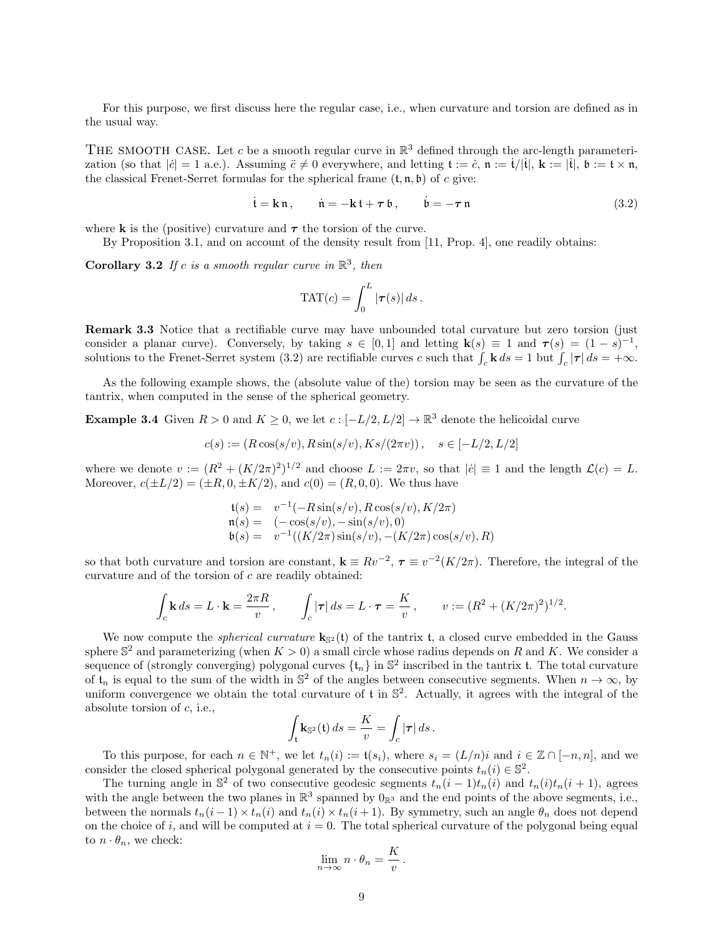For this purpose, we first discuss here the regular case, i.e., when curvature and torsion are defined as in the usual way.

THE SMOOTH CASE. Let c be a smooth regular curve in  $\mathbb{R}^3$  defined through the arc-length parameterization (so that  $|\dot{c}| = 1$  a.e.). Assuming  $\ddot{c} \neq 0$  everywhere, and letting  $\mathfrak{t} := \dot{c}$ ,  $\mathfrak{n} := \dot{\mathfrak{t}}/|\dot{\mathfrak{t}}|$ ,  $\mathfrak{k} := |\dot{\mathfrak{t}}|$ ,  $\mathfrak{b} := \mathfrak{t} \times \mathfrak{n}$ , the classical Frenet-Serret formulas for the spherical frame  $(t, n, b)$  of c give:

$$
\dot{\mathbf{t}} = \mathbf{k}\,\mathfrak{n}, \qquad \dot{\mathfrak{n}} = -\mathbf{k}\,\mathfrak{t} + \boldsymbol{\tau}\,\mathfrak{b}, \qquad \dot{\mathfrak{b}} = -\boldsymbol{\tau}\,\mathfrak{n} \tag{3.2}
$$

where **k** is the (positive) curvature and  $\tau$  the torsion of the curve.

By Proposition 3.1, and on account of the density result from [11, Prop. 4], one readily obtains:

**Corollary 3.2** If c is a smooth regular curve in  $\mathbb{R}^3$ , then

$$
\text{TAT}(c) = \int_0^L |\boldsymbol{\tau}(s)| \, ds \, .
$$

Remark 3.3 Notice that a rectifiable curve may have unbounded total curvature but zero torsion (just consider a planar curve). Conversely, by taking  $s \in [0,1]$  and letting  $\mathbf{k}(s) \equiv 1$  and  $\boldsymbol{\tau}(s) = (1-s)^{-1}$ , solutions to the Frenet-Serret system (3.2) are rectifiable curves c such that  $\int_c \mathbf{k} ds = 1$  but  $\int_c |\boldsymbol{\tau}| ds = +\infty$ .

As the following example shows, the (absolute value of the) torsion may be seen as the curvature of the tantrix, when computed in the sense of the spherical geometry.

**Example 3.4** Given  $R > 0$  and  $K \geq 0$ , we let  $c : [-L/2, L/2] \to \mathbb{R}^3$  denote the helicoidal curve

$$
c(s) := (R\cos(s/v), R\sin(s/v), Ks/(2\pi v)), \quad s \in [-L/2, L/2]
$$

where we denote  $v := (R^2 + (K/2\pi)^2)^{1/2}$  and choose  $L := 2\pi v$ , so that  $|\dot{c}| \equiv 1$  and the length  $\mathcal{L}(c) = L$ . Moreover,  $c(\pm L/2) = (\pm R, 0, \pm K/2)$ , and  $c(0) = (R, 0, 0)$ . We thus have

$$
t(s) = v^{-1}(-R\sin(s/v), R\cos(s/v), K/2\pi)
$$
  
\n
$$
n(s) = (-\cos(s/v), -\sin(s/v), 0)
$$
  
\n
$$
b(s) = v^{-1}((K/2\pi)\sin(s/v), -(K/2\pi)\cos(s/v), R)
$$

so that both curvature and torsion are constant,  $\mathbf{k} \equiv Rv^{-2}$ ,  $\boldsymbol{\tau} \equiv v^{-2}(K/2\pi)$ . Therefore, the integral of the curvature and of the torsion of c are readily obtained:

$$
\int_c \mathbf{k} \, ds = L \cdot \mathbf{k} = \frac{2\pi R}{v}, \qquad \int_c |\boldsymbol{\tau}| \, ds = L \cdot \boldsymbol{\tau} = \frac{K}{v}, \qquad v := (R^2 + (K/2\pi)^2)^{1/2}.
$$

We now compute the *spherical curvature*  $\mathbf{k}_{S^2}(t)$  of the tantrix t, a closed curve embedded in the Gauss sphere  $\mathbb{S}^2$  and parameterizing (when  $K > 0$ ) a small circle whose radius depends on R and K. We consider a sequence of (strongly converging) polygonal curves  $\{t_n\}$  in  $\mathbb{S}^2$  inscribed in the tantrix t. The total curvature of  $t_n$  is equal to the sum of the width in  $\mathbb{S}^2$  of the angles between consecutive segments. When  $n \to \infty$ , by uniform convergence we obtain the total curvature of  $t$  in  $\mathbb{S}^2$ . Actually, it agrees with the integral of the absolute torsion of  $c$ , i.e.,

$$
\int_{\mathfrak{t}} \mathbf{k}_{\mathbb{S}^2}(\mathfrak{t}) ds = \frac{K}{v} = \int_c |\boldsymbol{\tau}| ds.
$$

To this purpose, for each  $n \in \mathbb{N}^+$ , we let  $t_n(i) := \mathfrak{t}(s_i)$ , where  $s_i = (L/n)i$  and  $i \in \mathbb{Z} \cap [-n, n]$ , and we consider the closed spherical polygonal generated by the consecutive points  $t_n(i) \in \mathbb{S}^2$ .

The turning angle in  $\mathbb{S}^2$  of two consecutive geodesic segments  $t_n(i-1)t_n(i)$  and  $t_n(i)t_n(i+1)$ , agrees with the angle between the two planes in  $\mathbb{R}^3$  spanned by  $0_{\mathbb{R}^3}$  and the end points of the above segments, i.e., between the normals  $t_n(i-1) \times t_n(i)$  and  $t_n(i) \times t_n(i+1)$ . By symmetry, such an angle  $\theta_n$  does not depend on the choice of i, and will be computed at  $i = 0$ . The total spherical curvature of the polygonal being equal to  $n \cdot \theta_n$ , we check:

$$
\lim_{n \to \infty} n \cdot \theta_n = \frac{K}{v}
$$

.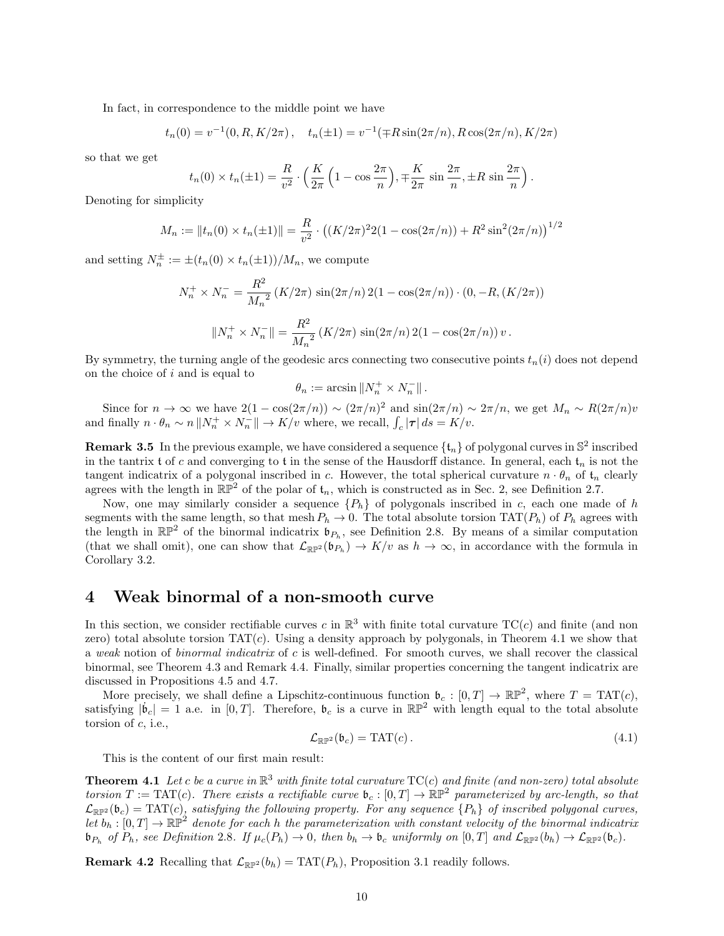In fact, in correspondence to the middle point we have

$$
t_n(0) = v^{-1}(0, R, K/2\pi), \quad t_n(\pm 1) = v^{-1}(\mp R\sin(2\pi/n), R\cos(2\pi/n), K/2\pi)
$$

so that we get

$$
t_n(0) \times t_n(\pm 1) = \frac{R}{v^2} \cdot \left(\frac{K}{2\pi} \left(1 - \cos\frac{2\pi}{n}\right), \mp\frac{K}{2\pi} \sin\frac{2\pi}{n}, \pm R \sin\frac{2\pi}{n}\right).
$$

Denoting for simplicity

$$
M_n := ||t_n(0) \times t_n(\pm 1)|| = \frac{R}{v^2} \cdot ((K/2\pi)^2 2(1 - \cos(2\pi/n)) + R^2 \sin^2(2\pi/n))^{1/2}
$$

and setting  $N_n^{\pm} := \pm (t_n(0) \times t_n(\pm 1))/M_n$ , we compute

$$
N_n^+ \times N_n^- = \frac{R^2}{M_n^2} \left( K/2\pi \right) \sin(2\pi/n) 2(1 - \cos(2\pi/n)) \cdot (0, -R, (K/2\pi))
$$

$$
||N_n^+ \times N_n^-|| = \frac{R^2}{M_n^2} \left( K/2\pi \right) \sin(2\pi/n) 2(1 - \cos(2\pi/n)) v.
$$

By symmetry, the turning angle of the geodesic arcs connecting two consecutive points  $t_n(i)$  does not depend on the choice of i and is equal to

$$
\theta_n:=\arcsin \|N_n^+\times N_n^-\|\,.
$$

Since for  $n \to \infty$  we have  $2(1 - \cos(2\pi/n)) \sim (2\pi/n)^2$  and  $\sin(2\pi/n) \sim 2\pi/n$ , we get  $M_n \sim R(2\pi/n)v$ and finally  $n \cdot \theta_n \sim n \| N_n^+ \times N_n^- \| \to K/v$  where, we recall,  $\int_c |\tau| ds = K/v$ .

**Remark 3.5** In the previous example, we have considered a sequence  $\{\mathfrak{t}_n\}$  of polygonal curves in  $\mathbb{S}^2$  inscribed in the tantrix t of c and converging to t in the sense of the Hausdorff distance. In general, each  $t_n$  is not the tangent indicatrix of a polygonal inscribed in c. However, the total spherical curvature  $n \cdot \theta_n$  of  $t_n$  clearly agrees with the length in  $\mathbb{RP}^2$  of the polar of  $t_n$ , which is constructed as in Sec. 2, see Definition 2.7.

Now, one may similarly consider a sequence  $\{P_h\}$  of polygonals inscribed in c, each one made of h segments with the same length, so that mesh  $P_h \to 0$ . The total absolute torsion TAT( $P_h$ ) of  $P_h$  agrees with the length in  $\mathbb{RP}^2$  of the binormal indicatrix  $\mathfrak{b}_{P_h}$ , see Definition 2.8. By means of a similar computation (that we shall omit), one can show that  $\mathcal{L}_{\mathbb{RP}^2}(\mathfrak{b}_{P_h}) \to K/v$  as  $h \to \infty$ , in accordance with the formula in Corollary 3.2.

# 4 Weak binormal of a non-smooth curve

In this section, we consider rectifiable curves c in  $\mathbb{R}^3$  with finite total curvature  $TC(c)$  and finite (and non zero) total absolute torsion  $TAT(c)$ . Using a density approach by polygonals, in Theorem 4.1 we show that a weak notion of *binormal indicatrix* of c is well-defined. For smooth curves, we shall recover the classical binormal, see Theorem 4.3 and Remark 4.4. Finally, similar properties concerning the tangent indicatrix are discussed in Propositions 4.5 and 4.7.

More precisely, we shall define a Lipschitz-continuous function  $\mathfrak{b}_c : [0,T] \to \mathbb{RP}^2$ , where  $T = TAT(c)$ , satisfying  $|\dot{b}_c| = 1$  a.e. in [0, T]. Therefore,  $b_c$  is a curve in  $\mathbb{RP}^2$  with length equal to the total absolute torsion of c, i.e.,

$$
\mathcal{L}_{\mathbb{R}\mathbb{P}^2}(\mathfrak{b}_c) = \text{TAT}(c) \,. \tag{4.1}
$$

This is the content of our first main result:

**Theorem 4.1** Let c be a curve in  $\mathbb{R}^3$  with finite total curvature  $TC(c)$  and finite (and non-zero) total absolute torsion  $T := TAT(c)$ . There exists a rectifiable curve  $\mathfrak{b}_c : [0,T] \to \mathbb{RP}^2$  parameterized by arc-length, so that  $\mathcal{L}_{\mathbb{R}\mathbb{P}^2}(\mathfrak{b}_c) = \text{TAT}(c)$ , satisfying the following property. For any sequence  $\{P_h\}$  of inscribed polygonal curves, let  $b_h:[0,T]\to \mathbb{RP}^2$  denote for each h the parameterization with constant velocity of the binormal indicatrix  $\mathfrak{b}_{P_h}$  of  $P_h$ , see Definition 2.8. If  $\mu_c(P_h) \to 0$ , then  $b_h \to \mathfrak{b}_c$  uniformly on  $[0,T]$  and  $\mathcal{L}_{\mathbb{RP}^2}(b_h) \to \mathcal{L}_{\mathbb{RP}^2}(\mathfrak{b}_c)$ .

**Remark 4.2** Recalling that  $\mathcal{L}_{\mathbb{RP}^2}(b_h) = \text{TAT}(P_h)$ , Proposition 3.1 readily follows.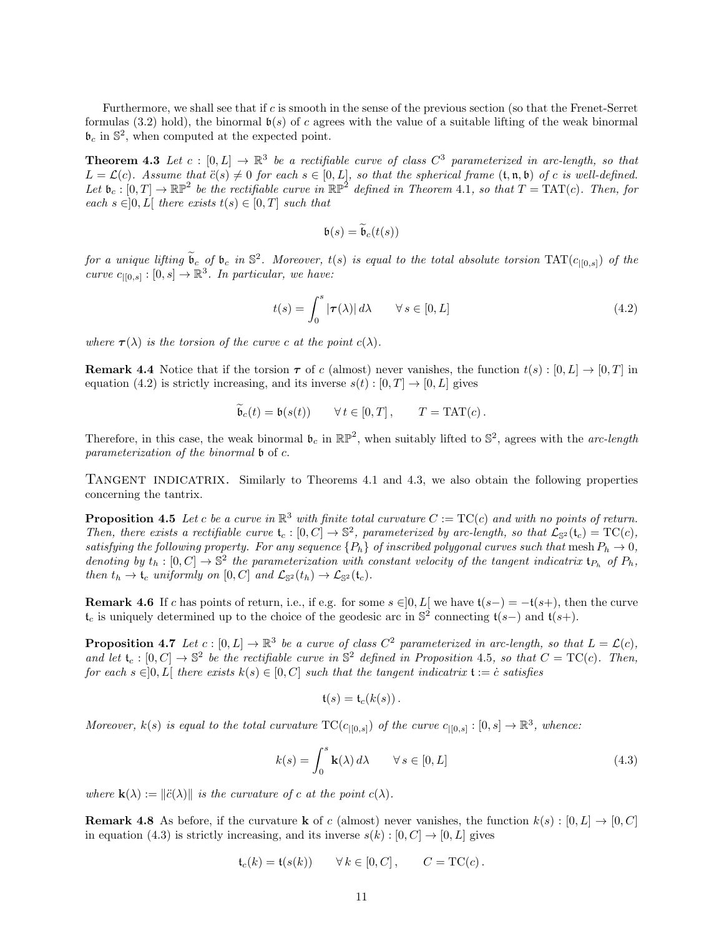Furthermore, we shall see that if c is smooth in the sense of the previous section (so that the Frenet-Serret formulas (3.2) hold), the binormal  $\mathfrak{b}(s)$  of c agrees with the value of a suitable lifting of the weak binormal  $\mathfrak{b}_c$  in  $\mathbb{S}^2$ , when computed at the expected point.

**Theorem 4.3** Let  $c : [0, L] \to \mathbb{R}^3$  be a rectifiable curve of class  $C^3$  parameterized in arc-length, so that  $L = \mathcal{L}(c)$ . Assume that  $\ddot{c}(s) \neq 0$  for each  $s \in [0, L]$ , so that the spherical frame  $(\mathfrak{t}, \mathfrak{n}, \mathfrak{b})$  of c is well-defined. Let  $\mathfrak{b}_c : [0,T] \to \mathbb{RP}^2$  be the rectifiable curve in  $\mathbb{RP}^2$  defined in Theorem 4.1, so that  $T = \text{TAT}(c)$ . Then, for each  $s \in ]0, L[$  there exists  $t(s) \in [0, T]$  such that

$$
\mathfrak{b}(s) = \widetilde{\mathfrak{b}}_c(t(s))
$$

for a unique lifting  $\widetilde{\mathfrak{b}}_c$  of  $\mathfrak{b}_c$  in  $\mathbb{S}^2$ . Moreover,  $t(s)$  is equal to the total absolute torsion  $TAT(c_{|[0,s]})$  of the curve  $c_{|[0,s]}:[0,s]\to\mathbb{R}^3$ . In particular, we have:

$$
t(s) = \int_0^s |\tau(\lambda)| d\lambda \qquad \forall s \in [0, L]
$$
\n(4.2)

where  $\tau(\lambda)$  is the torsion of the curve c at the point  $c(\lambda)$ .

**Remark 4.4** Notice that if the torsion  $\tau$  of c (almost) never vanishes, the function  $t(s) : [0, L] \to [0, T]$  in equation (4.2) is strictly increasing, and its inverse  $s(t): [0, T] \to [0, L]$  gives

$$
\tilde{\mathfrak{b}}_c(t) = \mathfrak{b}(s(t)) \qquad \forall \, t \in [0, T] \,, \qquad T = \text{TAT}(c) \,.
$$

Therefore, in this case, the weak binormal  $\mathfrak{b}_c$  in  $\mathbb{RP}^2$ , when suitably lifted to  $\mathbb{S}^2$ , agrees with the arc-length parameterization of the binormal b of c.

TANGENT INDICATRIX. Similarly to Theorems 4.1 and 4.3, we also obtain the following properties concerning the tantrix.

**Proposition 4.5** Let c be a curve in  $\mathbb{R}^3$  with finite total curvature  $C := TC(c)$  and with no points of return. Then, there exists a rectifiable curve  $\mathfrak{t}_c : [0, C] \to \mathbb{S}^2$ , parameterized by arc-length, so that  $\mathcal{L}_{\mathbb{S}^2}(\mathfrak{t}_c) = \mathrm{TC}(c)$ , satisfying the following property. For any sequence  ${P_h}$  of inscribed polygonal curves such that mesh  $P_h \to 0$ , denoting by  $t_h : [0, C] \to \mathbb{S}^2$  the parameterization with constant velocity of the tangent indicatrix  $t_{P_h}$  of  $P_h$ , then  $t_h \to \mathfrak{t}_c$  uniformly on  $[0, C]$  and  $\mathcal{L}_{\mathbb{S}^2}(t_h) \to \mathcal{L}_{\mathbb{S}^2}(\mathfrak{t}_c)$ .

**Remark 4.6** If c has points of return, i.e., if e.g. for some  $s \in ]0, L[$  we have  $t(s-) = -t(s+)$ , then the curve  $\mathfrak{t}_c$  is uniquely determined up to the choice of the geodesic arc in  $\mathbb{S}^2$  connecting  $\mathfrak{t}(s-)$  and  $\mathfrak{t}(s+)$ .

**Proposition 4.7** Let  $c : [0, L] \to \mathbb{R}^3$  be a curve of class  $C^2$  parameterized in arc-length, so that  $L = \mathcal{L}(c)$ , and let  $\mathfrak{t}_c : [0, C] \to \mathbb{S}^2$  be the rectifiable curve in  $\mathbb{S}^2$  defined in Proposition 4.5, so that  $C = \text{TC}(c)$ . Then, for each  $s \in ]0, L[$  there exists  $k(s) \in [0, C]$  such that the tangent indicatrix  $t := \dot{c}$  satisfies

$$
\mathfrak{t}(s) = \mathfrak{t}_c(k(s))\,.
$$

Moreover,  $k(s)$  is equal to the total curvature  $TC(c_{|[0,s]})$  of the curve  $c_{|[0,s]}:[0,s] \to \mathbb{R}^3$ , whence:

$$
k(s) = \int_0^s \mathbf{k}(\lambda) d\lambda \qquad \forall s \in [0, L]
$$
 (4.3)

where  $\mathbf{k}(\lambda) := ||\ddot{c}(\lambda)||$  is the curvature of c at the point  $c(\lambda)$ .

**Remark 4.8** As before, if the curvature **k** of c (almost) never vanishes, the function  $k(s) : [0, L] \rightarrow [0, C]$ in equation (4.3) is strictly increasing, and its inverse  $s(k) : [0, C] \rightarrow [0, L]$  gives

$$
\mathfrak{t}_c(k) = \mathfrak{t}(s(k)) \qquad \forall \, k \in [0, C] \,, \qquad C = \mathrm{TC}(c) \,.
$$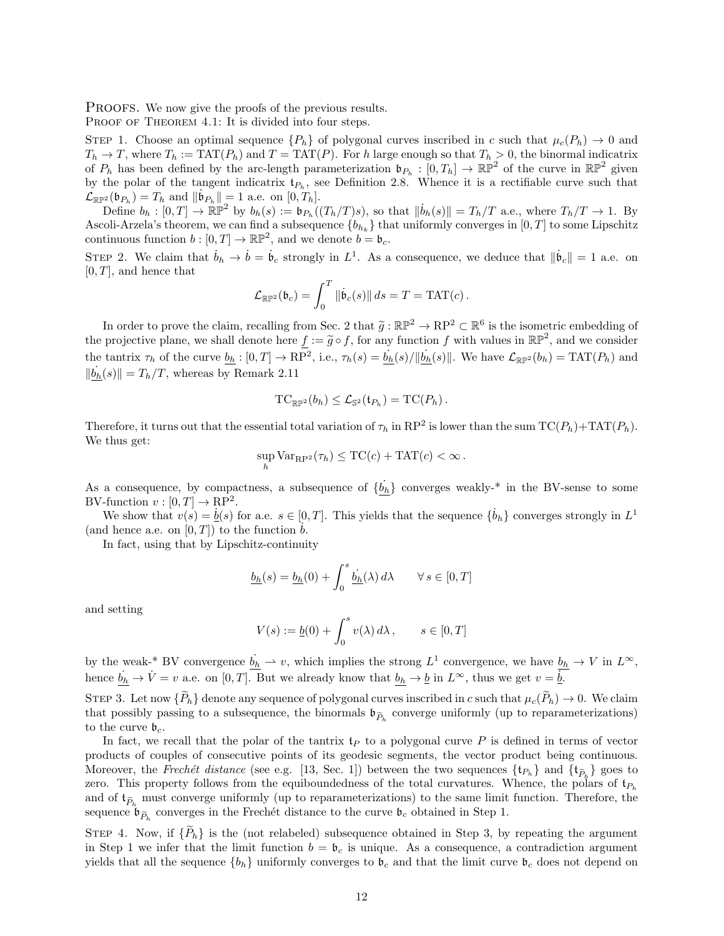PROOFS. We now give the proofs of the previous results.

PROOF OF THEOREM 4.1: It is divided into four steps.

STEP 1. Choose an optimal sequence  ${P_h}$  of polygonal curves inscribed in c such that  $\mu_c(P_h) \to 0$  and  $T_h \to T$ , where  $T_h := \text{TAT}(P_h)$  and  $T = \text{TAT}(P)$ . For h large enough so that  $T_h > 0$ , the binormal indicatrix of  $P_h$  has been defined by the arc-length parameterization  $\mathfrak{b}_{P_h} : [0, T_h] \to \mathbb{RP}^2$  of the curve in  $\mathbb{RP}^2$  given by the polar of the tangent indicatrix  $\mathfrak{t}_{P_h}$ , see Definition 2.8. Whence it is a rectifiable curve such that  $\mathcal{L}_{\mathbb{R}\mathbb{P}^2}(\mathfrak{b}_{P_h}) = T_h$  and  $\|\dot{\mathfrak{b}}_{P_h}\| = 1$  a.e. on  $[0, T_h].$ 

Define  $b_h: [0,T] \to \mathbb{RP}^2$  by  $b_h(s) := b_{P_h}((T_h/T)s)$ , so that  $\|\dot{b}_h(s)\| = T_h/T$  a.e., where  $T_h/T \to 1$ . By Ascoli-Arzela's theorem, we can find a subsequence  $\{b_{h_k}\}\$  that uniformly converges in  $[0, T]$  to some Lipschitz continuous function  $b: [0, T] \to \mathbb{RP}^2$ , and we denote  $b = b_c$ .

STEP 2. We claim that  $\dot{b}_h \to \dot{b} = \dot{b}_c$  strongly in  $L^1$ . As a consequence, we deduce that  $\|\dot{b}_c\| = 1$  a.e. on  $[0, T]$ , and hence that

$$
\mathcal{L}_{\mathbb{R}\mathbb{P}^2}(\mathfrak{b}_c) = \int_0^T \|\dot{\mathfrak{b}}_c(s)\| ds = T = \text{TAT}(c).
$$

In order to prove the claim, recalling from Sec. 2 that  $\tilde{g}: \mathbb{RP}^2 \to \mathbb{RP}^2 \subset \mathbb{R}^6$  is the isometric embedding of projective plane, we shall denote here  $f := \tilde{g} \circ f$  for any function function in  $\mathbb{RP}^2$  and w the projective plane, we shall denote here  $f := \tilde{g} \circ f$ , for any function f with values in  $\mathbb{RP}^2$ , and we consider the tantrix  $\tau_h$  of the curve  $b_h : [0, T] \to \mathbb{RP}^2$ , i.e.,  $\tau_h(s) = \dot{b}_h(s)/||\dot{b}_h(s)||$ . We have  $\mathcal{L}_{\mathbb{RP}^2}(b_h) = \text{TAT}(P_h)$  and  $\|\dot{b_h}(s)\| = T_h/T$ , whereas by Remark 2.11

$$
\mathrm{TC}_{\mathbb{RP}^2}(b_h) \leq \mathcal{L}_{\mathbb{S}^2}(\mathfrak{t}_{P_h}) = \mathrm{TC}(P_h).
$$

Therefore, it turns out that the essential total variation of  $\tau_h$  in RP<sup>2</sup> is lower than the sum  $TC(P_h)+TAT(P_h)$ . We thus get:

$$
\sup_h \text{Var}_{\mathbf{RP}^2}(\tau_h) \leq \text{TC}(c) + \text{TAT}(c) < \infty \, .
$$

As a consequence, by compactness, a subsequence of  $\{\dot{b}_h\}$  converges weakly-\* in the BV-sense to some BV-function  $v: [0, T] \to \mathbb{R}P^2$ .

We show that  $v(s) = \underline{b}(s)$  for a.e.  $s \in [0, T]$ . This yields that the sequence  $\{\dot{b}_h\}$  converges strongly in  $L^1$ (and hence a.e. on  $[0, T]$ ) to the function  $b$ .

In fact, using that by Lipschitz-continuity

$$
\underline{b_h}(s) = \underline{b_h}(0) + \int_0^s \underline{\dot{b_h}}(\lambda) d\lambda \qquad \forall s \in [0, T]
$$

and setting

$$
V(s) := \underline{b}(0) + \int_0^s v(\lambda) d\lambda, \qquad s \in [0, T]
$$

by the weak-\* BV convergence  $\dot{b}_h \rightharpoonup v$ , which implies the strong  $L^1$  convergence, we have  $b_h \rightharpoonup V$  in  $L^{\infty}$ , hence  $\dot{b}_h \to V = v$  a.e. on  $[0, T]$ . But we already know that  $b_h \to \underline{b}$  in  $L^{\infty}$ , thus we get  $v = \overline{\underline{b}}$ .

STEP 3. Let now  $\{\widetilde{P}_h\}$  denote any sequence of polygonal curves inscribed in c such that  $\mu_c(\widetilde{P}_h) \to 0$ . We claim that possibly passing to a subsequence, the binormals  $\mathfrak{b}_{\tilde{P}_h}$  converge uniformly (up to reparameterizations) to the curve  $\mathfrak{b}_c$ .

In fact, we recall that the polar of the tantrix  $t_P$  to a polygonal curve P is defined in terms of vector products of couples of consecutive points of its geodesic segments, the vector product being continuous. Moreover, the Frechét distance (see e.g. [13, Sec. 1]) between the two sequences  $\{t_{P_h}\}$  and  $\{t_{\widetilde{P}_h}\}$  goes to zero. This property follows from the equiboundedness of the total curvatures. Whence, the polars of  $t_{P_h}$ and of  $\mathfrak{t}_{\tilde{P}_h}$  must converge uniformly (up to reparameterizations) to the same limit function. Therefore, the sequence  $\mathfrak{b}_{\widetilde{P}_h}$  converges in the Frechet distance to the curve  $\mathfrak{b}_c$  obtained in Step 1.

STEP 4. Now, if  $\{P_h\}$  is the (not relabeled) subsequence obtained in Step 3, by repeating the argument in Step 1 we infer that the limit function  $b = b_c$  is unique. As a consequence, a contradiction argument yields that all the sequence  $\{b_h\}$  uniformly converges to  $b_c$  and that the limit curve  $b_c$  does not depend on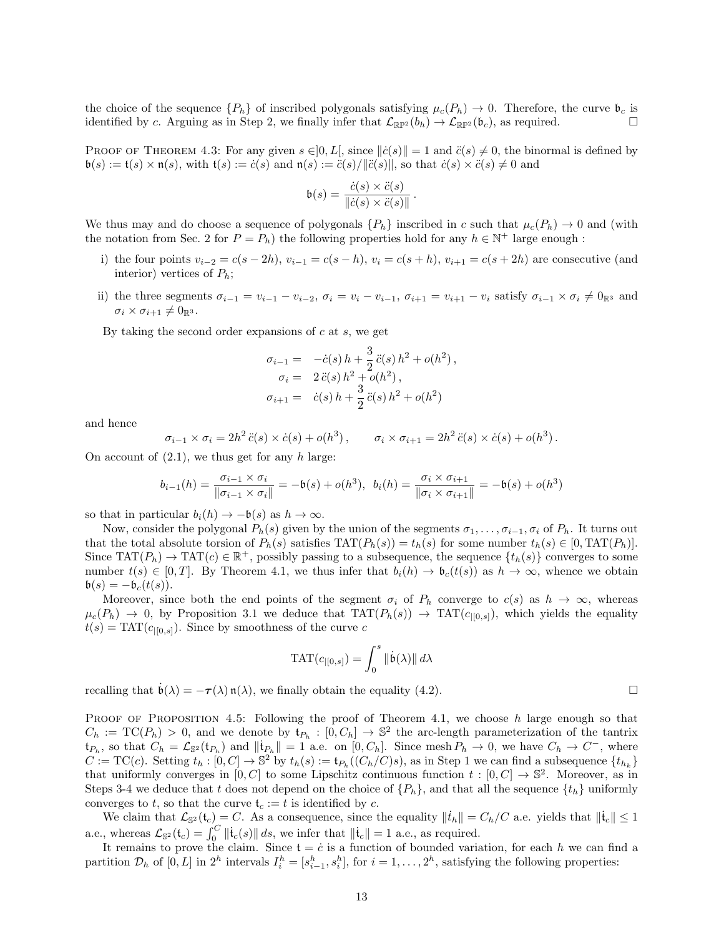the choice of the sequence  ${P_h}$  of inscribed polygonals satisfying  $\mu_c(P_h) \to 0$ . Therefore, the curve  $\mathfrak{b}_c$  is identified by c. Arguing as in Step 2, we finally infer that  $\mathcal{L}_{\mathbb{RP}^2}(b_h) \to \mathcal{L}_{\mathbb{RP}^2}(\mathfrak{b}_c)$ , as required.

PROOF OF THEOREM 4.3: For any given  $s \in ]0, L[$ , since  $||\dot{c}(s)|| = 1$  and  $\ddot{c}(s) \neq 0$ , the binormal is defined by  $\mathfrak{b}(s) := \mathfrak{t}(s) \times \mathfrak{n}(s)$ , with  $\mathfrak{t}(s) := \dot{c}(s)$  and  $\mathfrak{n}(s) := \ddot{c}(s)/\|\ddot{c}(s)\|$ , so that  $\dot{c}(s) \times \ddot{c}(s) \neq 0$  and

$$
\mathfrak{b}(s) = \frac{\dot{c}(s) \times \ddot{c}(s)}{\|\dot{c}(s) \times \ddot{c}(s)\|}.
$$

We thus may and do choose a sequence of polygonals  $\{P_h\}$  inscribed in c such that  $\mu_c(P_h) \to 0$  and (with the notation from Sec. 2 for  $P = P_h$ ) the following properties hold for any  $h \in \mathbb{N}^+$  large enough :

- i) the four points  $v_{i-2} = c(s 2h)$ ,  $v_{i-1} = c(s h)$ ,  $v_i = c(s + h)$ ,  $v_{i+1} = c(s + 2h)$  are consecutive (and interior) vertices of  $P_h$ ;
- ii) the three segments  $\sigma_{i-1} = v_{i-1} v_{i-2}$ ,  $\sigma_i = v_i v_{i-1}$ ,  $\sigma_{i+1} = v_{i+1} v_i$  satisfy  $\sigma_{i-1} \times \sigma_i \neq 0$  $\sigma_i \times \sigma_{i+1} \neq 0_{\mathbb{R}^3}.$

By taking the second order expansions of  $c$  at  $s$ , we get

$$
\sigma_{i-1} = -\dot{c}(s) h + \frac{3}{2} \ddot{c}(s) h^2 + o(h^2),
$$
  
\n
$$
\sigma_i = 2 \ddot{c}(s) h^2 + o(h^2),
$$
  
\n
$$
\sigma_{i+1} = \dot{c}(s) h + \frac{3}{2} \ddot{c}(s) h^2 + o(h^2)
$$

and hence

$$
\sigma_{i-1} \times \sigma_i = 2h^2 \ddot{c}(s) \times \dot{c}(s) + o(h^3), \qquad \sigma_i \times \sigma_{i+1} = 2h^2 \ddot{c}(s) \times \dot{c}(s) + o(h^3).
$$

On account of  $(2.1)$ , we thus get for any h large:

$$
b_{i-1}(h) = \frac{\sigma_{i-1} \times \sigma_i}{\|\sigma_{i-1} \times \sigma_i\|} = -\mathfrak{b}(s) + o(h^3), \quad b_i(h) = \frac{\sigma_i \times \sigma_{i+1}}{\|\sigma_i \times \sigma_{i+1}\|} = -\mathfrak{b}(s) + o(h^3)
$$

so that in particular  $b_i(h) \to -\mathfrak{b}(s)$  as  $h \to \infty$ .

Now, consider the polygonal  $P_h(s)$  given by the union of the segments  $\sigma_1, \ldots, \sigma_{i-1}, \sigma_i$  of  $P_h$ . It turns out that the total absolute torsion of  $P_h(s)$  satisfies  $TAT(P_h(s)) = t_h(s)$  for some number  $t_h(s) \in [0, TAT(P_h)].$ Since  $TAT(P_h) \to TAT(c) \in \mathbb{R}^+$ , possibly passing to a subsequence, the sequence  $\{t_h(s)\}$  converges to some number  $t(s) \in [0, T]$ . By Theorem 4.1, we thus infer that  $b_i(h) \to b_c(t(s))$  as  $h \to \infty$ , whence we obtain  $\mathfrak{b}(s) = -\mathfrak{b}_c(t(s)).$ 

Moreover, since both the end points of the segment  $\sigma_i$  of  $P_h$  converge to  $c(s)$  as  $h \to \infty$ , whereas  $\mu_c(P_h) \to 0$ , by Proposition 3.1 we deduce that  $TAT(P_h(s)) \to TAT(c_{|[0,s]}),$  which yields the equality  $t(s) = TAT(c_{|[0,s]})$ . Since by smoothness of the curve c

$$
\mathrm{TAT}(c_{|[0,s]})=\int_0^s \|\dot{\mathfrak{b}}(\lambda)\|\,d\lambda
$$

recalling that  $\dot{\mathfrak{b}}(\lambda) = -\tau(\lambda) \mathfrak{n}(\lambda)$ , we finally obtain the equality (4.2).

PROOF OF PROPOSITION 4.5: Following the proof of Theorem 4.1, we choose h large enough so that  $C_h := \text{TC}(P_h) > 0$ , and we denote by  $\mathfrak{t}_{P_h} : [0, C_h] \to \mathbb{S}^2$  the arc-length parameterization of the tantrix  $\mathfrak{t}_{P_h}$ , so that  $C_h = \mathcal{L}_{\mathbb{S}^2}(\mathfrak{t}_{P_h})$  and  $\|\mathfrak{t}_{P_h}\| = 1$  a.e. on  $[0, C_h]$ . Since mesh  $P_h \to 0$ , we have  $C_h \to C^-$ , where  $C := TC(c)$ . Setting  $t_h : [0, C] \to \mathbb{S}^2$  by  $t_h(s) := t_{P_h}((C_h/C)s)$ , as in Step 1 we can find a subsequence  $\{t_{h_k}\}$ that uniformly converges in  $[0, C]$  to some Lipschitz continuous function  $t : [0, C] \to \mathbb{S}^2$ . Moreover, as in Steps 3-4 we deduce that t does not depend on the choice of  $\{P_h\}$ , and that all the sequence  $\{t_h\}$  uniformly converges to t, so that the curve  $\mathfrak{t}_c := t$  is identified by c.

We claim that  $\mathcal{L}_{\mathbb{S}^2}(t_c) = C$ . As a consequence, since the equality  $\|\dot{t}_h\| = C_h/C$  a.e. yields that  $\|\dot{t}_c\| \leq 1$ a.e., whereas  $\mathcal{L}_{\mathbb{S}^2}(\mathfrak{t}_c) = \int_0^C \|\dot{\mathfrak{t}}_c(s)\| \, ds$ , we infer that  $\|\dot{\mathfrak{t}}_c\| = 1$  a.e., as required.

It remains to prove the claim. Since  $t = \dot{c}$  is a function of bounded variation, for each h we can find a partition  $\mathcal{D}_h$  of  $[0,L]$  in  $2^h$  intervals  $I_i^h = [s_{i-1}^h, s_i^h]$ , for  $i = 1, \ldots, 2^h$ , satisfying the following properties: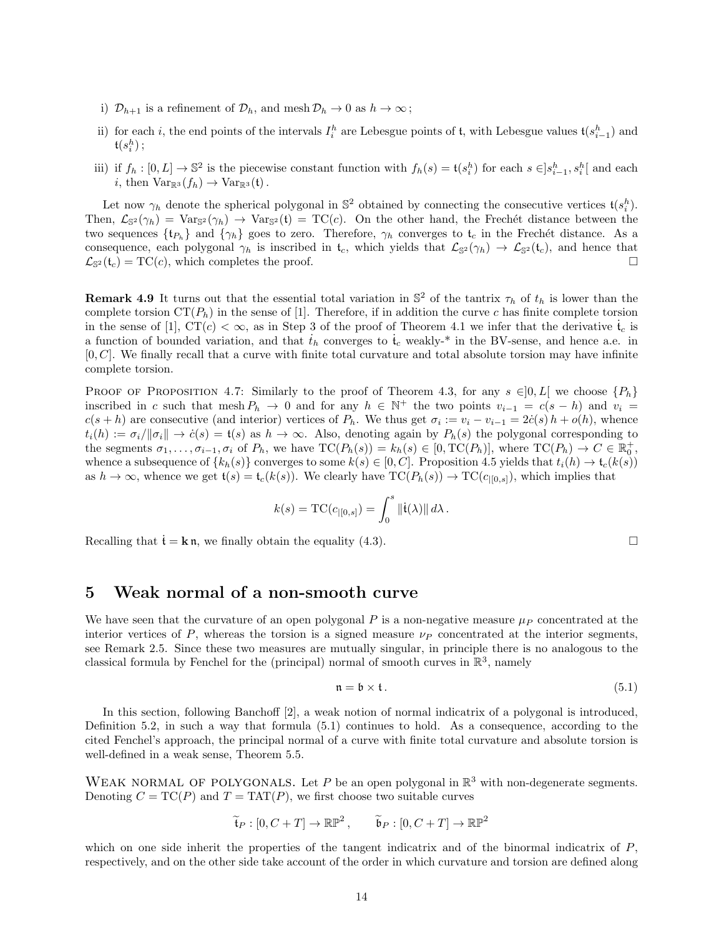- i)  $\mathcal{D}_{h+1}$  is a refinement of  $\mathcal{D}_h$ , and mesh  $\mathcal{D}_h \to 0$  as  $h \to \infty$ ;
- ii) for each i, the end points of the intervals  $I_i^h$  are Lebesgue points of t, with Lebesgue values  $\mathfrak{t}(s_{i-1}^h)$  and  $\mathfrak{t}(s_i^h)\,;$
- iii) if  $f_h: [0, L] \to \mathbb{S}^2$  is the piecewise constant function with  $f_h(s) = \mathfrak{t}(s_i^h)$  for each  $s \in ]s_{i-1}^h, s_i^h[$  and each i, then  $Var_{\mathbb{R}^3}(f_h) \to Var_{\mathbb{R}^3}(t)$ .

Let now  $\gamma_h$  denote the spherical polygonal in  $\mathbb{S}^2$  obtained by connecting the consecutive vertices  $\mathfrak{t}(s_i^h)$ . Then,  $\mathcal{L}_{\mathbb{S}^2}(\gamma_h) = \text{Var}_{\mathbb{S}^2}(\gamma_h) \to \text{Var}_{\mathbb{S}^2}(\mathfrak{t}) = \text{TC}(c)$ . On the other hand, the Frechét distance between the two sequences  $\{t_{P_h}\}\$ and  $\{\gamma_h\}$  goes to zero. Therefore,  $\gamma_h$  converges to  $t_c$  in the Frechét distance. As a consequence, each polygonal  $\gamma_h$  is inscribed in  $\mathfrak{t}_c$ , which yields that  $\mathcal{L}_{\mathbb{S}^2}(\gamma_h) \to \mathcal{L}_{\mathbb{S}^2}(\mathfrak{t}_c)$ , and hence that  $\mathcal{L}_{\mathbb{S}^2}(\mathfrak{t}_c) = \text{TC}(c)$ , which completes the proof.

**Remark 4.9** It turns out that the essential total variation in  $\mathbb{S}^2$  of the tantrix  $\tau_h$  of  $t_h$  is lower than the complete torsion  $CT(P_h)$  in the sense of [1]. Therefore, if in addition the curve c has finite complete torsion in the sense of [1],  $CT(c) < \infty$ , as in Step 3 of the proof of Theorem 4.1 we infer that the derivative  $\dot{t}_c$  is a function of bounded variation, and that  $t_h$  converges to  $\dot{t}_c$  weakly-\* in the BV-sense, and hence a.e. in  $[0, C]$ . We finally recall that a curve with finite total curvature and total absolute torsion may have infinite complete torsion.

PROOF OF PROPOSITION 4.7: Similarly to the proof of Theorem 4.3, for any  $s \in ]0, L[$  we choose  $\{P_h\}$ inscribed in c such that mesh  $P_h \to 0$  and for any  $h \in \mathbb{N}^+$  the two points  $v_{i-1} = c(s-h)$  and  $v_i =$  $c(s+h)$  are consecutive (and interior) vertices of  $P_h$ . We thus get  $\sigma_i := v_i - v_{i-1} = 2\dot{c}(s)h + o(h)$ , whence  $t_i(h) := \sigma_i / ||\sigma_i|| \to \dot{c}(s) = t(s)$  as  $h \to \infty$ . Also, denoting again by  $P_h(s)$  the polygonal corresponding to the segments  $\sigma_1, \ldots, \sigma_{i-1}, \sigma_i$  of  $P_h$ , we have  $TC(P_h(s)) = k_h(s) \in [0, TC(P_h)],$  where  $TC(P_h) \to C \in \mathbb{R}_0^+$ , whence a subsequence of  $\{k_h(s)\}$  converges to some  $k(s) \in [0, C]$ . Proposition 4.5 yields that  $t_i(h) \to t_c(k(s))$ as  $h \to \infty$ , whence we get  $\mathfrak{t}(s) = \mathfrak{t}_c(k(s))$ . We clearly have  $TC(P_h(s)) \to TC(c_{[0,s]})$ , which implies that

$$
k(s) = \mathrm{TC}(c_{|[0,s]}) = \int_0^s \|\dot{\mathbf{t}}(\lambda)\| d\lambda.
$$

Recalling that  $t = k n$ , we finally obtain the equality (4.3).

### 5 Weak normal of a non-smooth curve

We have seen that the curvature of an open polygonal P is a non-negative measure  $\mu_P$  concentrated at the interior vertices of P, whereas the torsion is a signed measure  $\nu_P$  concentrated at the interior segments, see Remark 2.5. Since these two measures are mutually singular, in principle there is no analogous to the classical formula by Fenchel for the (principal) normal of smooth curves in  $\mathbb{R}^3$ , namely

$$
\mathfrak{n} = \mathfrak{b} \times \mathfrak{t}. \tag{5.1}
$$

In this section, following Banchoff [2], a weak notion of normal indicatrix of a polygonal is introduced, Definition 5.2, in such a way that formula (5.1) continues to hold. As a consequence, according to the cited Fenchel's approach, the principal normal of a curve with finite total curvature and absolute torsion is well-defined in a weak sense, Theorem 5.5.

WEAK NORMAL OF POLYGONALS. Let P be an open polygonal in  $\mathbb{R}^3$  with non-degenerate segments. Denoting  $C = TC(P)$  and  $T = TAT(P)$ , we first choose two suitable curves

$$
\widetilde{\mathfrak{t}}_P : [0, C + T] \to \mathbb{RP}^2
$$
,  $\widetilde{\mathfrak{b}}_P : [0, C + T] \to \mathbb{RP}^2$ 

which on one side inherit the properties of the tangent indicatrix and of the binormal indicatrix of  $P$ , respectively, and on the other side take account of the order in which curvature and torsion are defined along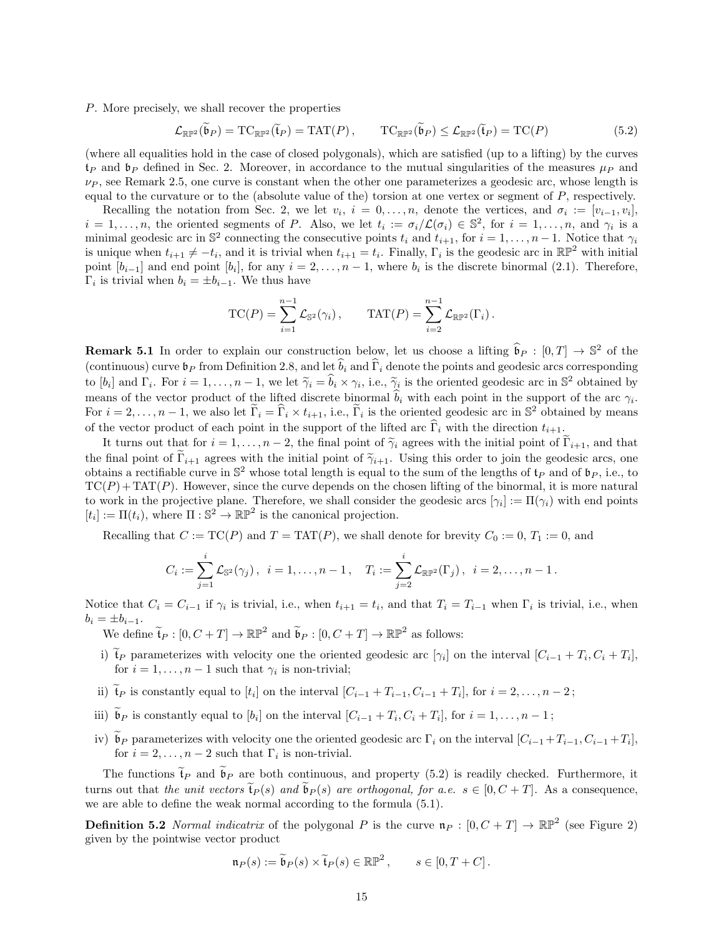P. More precisely, we shall recover the properties

$$
\mathcal{L}_{\mathbb{R}\mathbb{P}^2}(\widetilde{\mathfrak{b}}_P) = \mathrm{TC}_{\mathbb{R}\mathbb{P}^2}(\widetilde{\mathfrak{t}}_P) = \mathrm{TAT}(P), \qquad \mathrm{TC}_{\mathbb{R}\mathbb{P}^2}(\widetilde{\mathfrak{b}}_P) \le \mathcal{L}_{\mathbb{R}\mathbb{P}^2}(\widetilde{\mathfrak{t}}_P) = \mathrm{TC}(P) \tag{5.2}
$$

(where all equalities hold in the case of closed polygonals), which are satisfied (up to a lifting) by the curves  $t_P$  and  $b_P$  defined in Sec. 2. Moreover, in accordance to the mutual singularities of the measures  $\mu_P$  and  $\nu_P$ , see Remark 2.5, one curve is constant when the other one parameterizes a geodesic arc, whose length is equal to the curvature or to the (absolute value of the) torsion at one vertex or segment of P, respectively.

Recalling the notation from Sec. 2, we let  $v_i$ ,  $i = 0, \ldots, n$ , denote the vertices, and  $\sigma_i := [v_{i-1}, v_i]$ ,  $i = 1, \ldots, n$ , the oriented segments of P. Also, we let  $t_i := \sigma_i/\mathcal{L}(\sigma_i) \in \mathbb{S}^2$ , for  $i = 1, \ldots, n$ , and  $\gamma_i$  is a minimal geodesic arc in  $\mathbb{S}^2$  connecting the consecutive points  $t_i$  and  $t_{i+1}$ , for  $i = 1, \ldots, n-1$ . Notice that  $\gamma_i$ is unique when  $t_{i+1} \neq -t_i$ , and it is trivial when  $t_{i+1} = t_i$ . Finally,  $\Gamma_i$  is the geodesic arc in  $\mathbb{RP}^2$  with initial point  $[b_{i-1}]$  and end point  $[b_i]$ , for any  $i = 2, \ldots, n-1$ , where  $b_i$  is the discrete binormal (2.1). Therefore,  $\Gamma_i$  is trivial when  $b_i = \pm b_{i-1}$ . We thus have

$$
TC(P) = \sum_{i=1}^{n-1} \mathcal{L}_{\mathbb{S}^2}(\gamma_i), \qquad TAT(P) = \sum_{i=2}^{n-1} \mathcal{L}_{\mathbb{RP}^2}(\Gamma_i).
$$

**Remark 5.1** In order to explain our construction below, let us choose a lifting  $\hat{b}_P : [0, T] \to \mathbb{S}^2$  of the (continuous) curve  $\mathfrak{b}_P$  from Definition 2.8, and let  $\widehat{b}_i$  and  $\widehat{\Gamma}_i$  denote the points and geodesic arcs corresponding to  $[b_i]$  and  $\Gamma_i$ . For  $i = 1, \ldots, n-1$ , we let  $\widetilde{\gamma}_i = \widehat{b}_i \times \gamma_i$ , i.e.,  $\widetilde{\gamma}_i$  is the oriented geodesic arc in  $\mathbb{S}^2$  obtained by means of the vector product of the lifted discrete binormal  $b_i$  with each point in the support of the arc  $\gamma_i$ . For  $i = 2, \ldots, n-1$ , we also let  $\tilde{\Gamma}_i = \hat{\Gamma}_i \times t_{i+1}$ , i.e.,  $\tilde{\Gamma}_i$  is the oriented geodesic arc in  $\mathbb{S}^2$  obtained by means of the vector product of each point in the support of the lifted arc  $\overline{\Gamma}_i$  with the direction  $t_{i+1}$ .

It turns out that for  $i = 1, \ldots, n-2$ , the final point of  $\widetilde{\gamma}_i$  agrees with the initial point of  $\widetilde{\Gamma}_{i+1}$ , and that the final point of  $\tilde{\Gamma}_{i+1}$  agrees with the initial point of  $\tilde{\gamma}_{i+1}$ . Using this order to join the geodesic arcs, one obtains a rectifiable curve in  $\mathbb{S}^2$  whose total length is equal to the sum of the lengths of  $\mathfrak{t}_P$  and of  $\mathfrak{b}_P$ , i.e., to  $TC(P) + TAT(P)$ . However, since the curve depends on the chosen lifting of the binormal, it is more natural to work in the projective plane. Therefore, we shall consider the geodesic arcs  $[\gamma_i] := \Pi(\gamma_i)$  with end points  $[t_i] := \Pi(t_i)$ , where  $\Pi : \mathbb{S}^2 \to \mathbb{RP}^2$  is the canonical projection.

Recalling that  $C := \text{TC}(P)$  and  $T = \text{TAT}(P)$ , we shall denote for brevity  $C_0 := 0, T_1 := 0$ , and

$$
C_i := \sum_{j=1}^i \mathcal{L}_{\mathbb{S}^2}(\gamma_j), \ \ i = 1, \ldots, n-1, \quad T_i := \sum_{j=2}^i \mathcal{L}_{\mathbb{R}\mathbb{P}^2}(\Gamma_j), \ \ i = 2, \ldots, n-1.
$$

Notice that  $C_i = C_{i-1}$  if  $\gamma_i$  is trivial, i.e., when  $t_{i+1} = t_i$ , and that  $T_i = T_{i-1}$  when  $\Gamma_i$  is trivial, i.e., when  $b_i = \pm b_{i-1}.$ 

- We define  $\widetilde{\mathfrak{t}}_P : [0, C + T] \to \mathbb{RP}^2$  and  $\widetilde{\mathfrak{b}}_P : [0, C + T] \to \mathbb{RP}^2$  as follows:
- i) t<sub>P</sub> parameterizes with velocity one the oriented geodesic arc [ $\gamma_i$ ] on the interval [ $C_{i-1} + T_i, C_i + T_i$ ], for  $i = 1, ..., n - 1$  such that  $\gamma_i$  is non-trivial;
- ii)  $\mathfrak{t}_P$  is constantly equal to  $[t_i]$  on the interval  $[C_{i-1} + T_{i-1}, C_{i-1} + T_i]$ , for  $i = 2, ..., n-2$ ;
- iii)  $\mathfrak{b}_P$  is constantly equal to  $[b_i]$  on the interval  $[C_{i-1} + T_i, C_i + T_i]$ , for  $i = 1, ..., n-1$ ;
- iv) b<sub>P</sub> parameterizes with velocity one the oriented geodesic arc  $\Gamma_i$  on the interval  $[C_{i-1} + T_{i-1}, C_{i-1} + T_i]$ , for  $i = 2, \ldots, n-2$  such that  $\Gamma_i$  is non-trivial.

The functions  $\tilde{t}_P$  and  $\tilde{b}_P$  are both continuous, and property (5.2) is readily checked. Furthermore, it turns out that the unit vectors  $\tilde{\mathfrak{t}}_P(s)$  and  $\tilde{\mathfrak{b}}_P(s)$  are orthogonal, for a.e.  $s \in [0, C + T]$ . As a consequence, we are able to define the weak normal according to the formula (5.1).

**Definition 5.2** Normal indicatrix of the polygonal P is the curve  $\mathfrak{n}_P : [0, C + T] \to \mathbb{RP}^2$  (see Figure 2) given by the pointwise vector product

$$
\mathfrak{n}_P(s) := \widetilde{\mathfrak{b}}_P(s) \times \widetilde{\mathfrak{t}}_P(s) \in \mathbb{RP}^2, \qquad s \in [0, T + C].
$$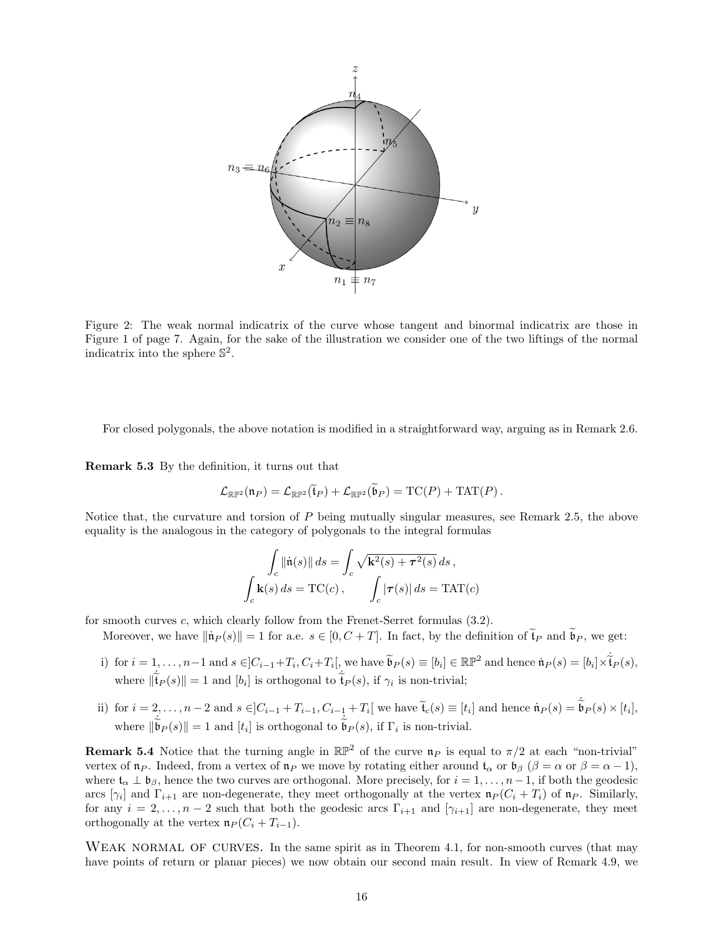

Figure 2: The weak normal indicatrix of the curve whose tangent and binormal indicatrix are those in Figure 1 of page 7. Again, for the sake of the illustration we consider one of the two liftings of the normal indicatrix into the sphere  $\mathbb{S}^2$ .

For closed polygonals, the above notation is modified in a straightforward way, arguing as in Remark 2.6.

Remark 5.3 By the definition, it turns out that

$$
\mathcal{L}_{\mathbb{RP}^2}(\mathfrak{n}_P) = \mathcal{L}_{\mathbb{RP}^2}(\widetilde{\mathfrak{t}}_P) + \mathcal{L}_{\mathbb{RP}^2}(\widetilde{\mathfrak{b}}_P) = \mathrm{TC}(P) + \mathrm{TAT}(P).
$$

Notice that, the curvature and torsion of  $P$  being mutually singular measures, see Remark 2.5, the above equality is the analogous in the category of polygonals to the integral formulas

$$
\int_c \|\dot{\mathbf{n}}(s)\| ds = \int_c \sqrt{\mathbf{k}^2(s) + \tau^2(s)} ds,
$$
\n
$$
\int_c \mathbf{k}(s) ds = \mathrm{TC}(c), \qquad \int_c |\tau(s)| ds = \mathrm{TAT}(c)
$$

for smooth curves  $c$ , which clearly follow from the Frenet-Serret formulas  $(3.2)$ .

Moreover, we have  $\|\mathbf{n}_P(s)\| = 1$  for a.e.  $s \in [0, C + T]$ . In fact, by the definition of  $\widetilde{\mathbf{t}}_P$  and  $\widetilde{\mathbf{b}}_P$ , we get:

- i) for  $i = 1, ..., n-1$  and  $s \in ]C_{i-1} + T_i, C_i + T_i[$ , we have  $\widetilde{\mathfrak{b}}_P(s) \equiv [b_i] \in \mathbb{RP}^2$  and hence  $\mathfrak{n}_P(s) = [b_i] \times \widetilde{\mathfrak{t}}_P(s)$ , where  $\|\tilde{\mathbf{t}}_P(s)\| = 1$  and  $[b_i]$  is orthogonal to  $\tilde{\mathbf{t}}_P(s)$ , if  $\gamma_i$  is non-trivial;
- ii) for  $i = 2, \ldots, n-2$  and  $s \in ]C_{i-1} + T_{i-1}, C_{i-\frac{1}{\sim}} + T_i[$  we have  $\widetilde{\mathfrak{t}}_c(s) \equiv [t_i]$  and hence  $\mathfrak{n}_P(s) = \widetilde{\mathfrak{b}}_P(s) \times [t_i],$ where  $\|\tilde{\mathfrak{b}}_P(s)\| = 1$  and  $[t_i]$  is orthogonal to  $\tilde{\mathfrak{b}}_P(s)$ , if  $\Gamma_i$  is non-trivial.

**Remark 5.4** Notice that the turning angle in  $\mathbb{RP}^2$  of the curve  $\mathfrak{n}_P$  is equal to  $\pi/2$  at each "non-trivial" vertex of  $\mathfrak{n}_P$ . Indeed, from a vertex of  $\mathfrak{n}_P$  we move by rotating either around  $\mathfrak{t}_\alpha$  or  $\mathfrak{b}_\beta$  ( $\beta = \alpha$  or  $\beta = \alpha - 1$ ), where  $\mathfrak{t}_{\alpha} \perp \mathfrak{b}_{\beta}$ , hence the two curves are orthogonal. More precisely, for  $i = 1, \ldots, n-1$ , if both the geodesic arcs  $[\gamma_i]$  and  $\Gamma_{i+1}$  are non-degenerate, they meet orthogonally at the vertex  $\mathfrak{n}_P(C_i + T_i)$  of  $\mathfrak{n}_P$ . Similarly, for any  $i = 2, \ldots, n-2$  such that both the geodesic arcs  $\Gamma_{i+1}$  and  $[\gamma_{i+1}]$  are non-degenerate, they meet orthogonally at the vertex  $\mathfrak{n}_P (C_i + T_{i-1}).$ 

WEAK NORMAL OF CURVES. In the same spirit as in Theorem 4.1, for non-smooth curves (that may have points of return or planar pieces) we now obtain our second main result. In view of Remark 4.9, we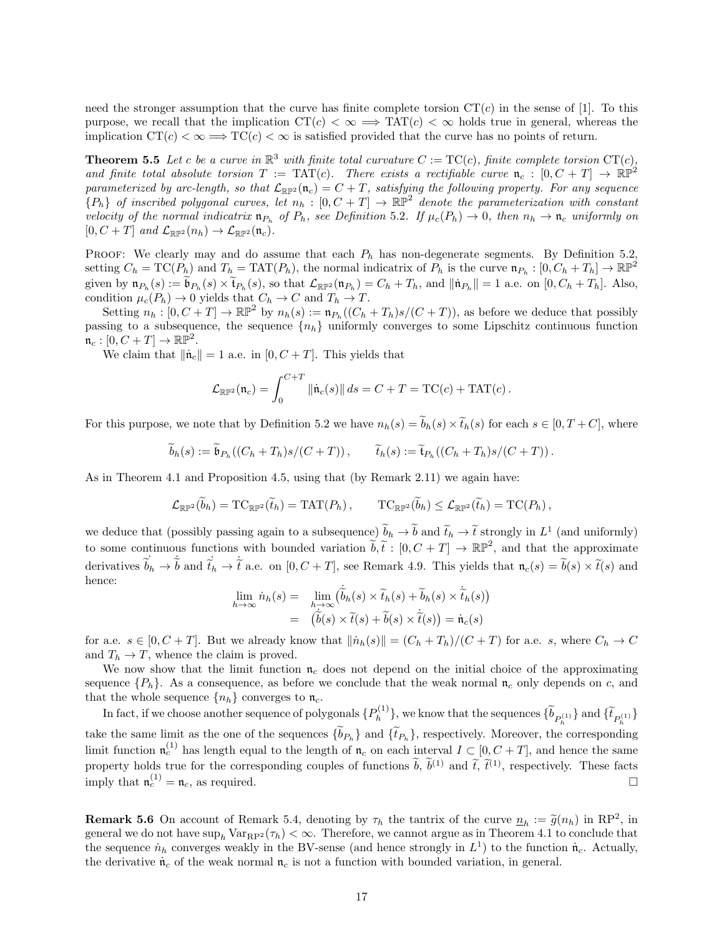need the stronger assumption that the curve has finite complete torsion  $CT(c)$  in the sense of [1]. To this purpose, we recall that the implication  $CT(c) < \infty \implies TAT(c) < \infty$  holds true in general, whereas the implication  $CT(c) < \infty \Longrightarrow TC(c) < \infty$  is satisfied provided that the curve has no points of return.

**Theorem 5.5** Let c be a curve in  $\mathbb{R}^3$  with finite total curvature  $C := \text{TC}(c)$ , finite complete torsion  $\text{CT}(c)$ , and finite total absolute torsion  $T := TAT(c)$ . There exists a rectifiable curve  $\mathfrak{n}_c : [0, C + T] \to \mathbb{RP}^2$ parameterized by arc-length, so that  $\mathcal{L}_{\mathbb{RP}^2}(\mathfrak{n}_c) = C + T$ , satisfying the following property. For any sequence  ${P_h}$  of inscribed polygonal curves, let  $n_h : [0, C + T] \to \mathbb{RP}^2$  denote the parameterization with constant velocity of the normal indicatrix  $\mathfrak{n}_{P_h}$  of  $P_h$ , see Definition 5.2. If  $\mu_c(P_h) \to 0$ , then  $n_h \to \mathfrak{n}_c$  uniformly on  $[0, C + T]$  and  $\mathcal{L}_{\mathbb{RP}^2}(n_h) \to \mathcal{L}_{\mathbb{RP}^2}(\mathfrak{n}_c)$ .

PROOF: We clearly may and do assume that each  $P_h$  has non-degenerate segments. By Definition 5.2, setting  $C_h = \text{TC}(P_h)$  and  $T_h = \text{TAT}(P_h)$ , the normal indicatrix of  $P_h$  is the curve  $\mathfrak{n}_{P_h} : [0, C_h + T_h] \to \mathbb{RP}^2$ given by  $\mathfrak{n}_{P_h}(s) := \mathfrak{b}_{P_h}(s) \times \mathfrak{t}_{P_h}(s)$ , so that  $\mathcal{L}_{\mathbb{R}\mathbb{P}^2}(\mathfrak{n}_{P_h}) = C_h + T_h$ , and  $\|\mathfrak{n}_{P_h}\| = 1$  a.e. on  $[0, C_h + T_h]$ . Also, condition  $\mu_c(P_h) \to 0$  yields that  $C_h \to C$  and  $T_h \to T$ .

Setting  $n_h : [0, C + T] \to \mathbb{RP}^2$  by  $n_h(s) := \mathfrak{n}_{P_h}((C_h + T_h)s/(C + T))$ , as before we deduce that possibly passing to a subsequence, the sequence  $\{n_h\}$  uniformly converges to some Lipschitz continuous function  $\mathfrak{n}_c : [0, C+T] \to \mathbb{RP}^2.$ 

We claim that  $\|\dot{\mathbf{n}}_c\| = 1$  a.e. in  $[0, C + T]$ . This yields that

$$
\mathcal{L}_{\mathbb{RP}^2}(\mathfrak{n}_c) = \int_0^{C+T} \left\| \dot{\mathfrak{n}}_c(s) \right\| ds = C + T = \mathrm{TC}(c) + \mathrm{TAT}(c) \,.
$$

For this purpose, we note that by Definition 5.2 we have  $n_h(s) = \tilde{b}_h(s) \times \tilde{t}_h(s)$  for each  $s \in [0, T + C]$ , where

$$
\widetilde{b}_h(s) := \widetilde{\mathfrak{b}}_{P_h}((C_h + T_h)s/(C + T)), \qquad \widetilde{t}_h(s) := \widetilde{\mathfrak{t}}_{P_h}((C_h + T_h)s/(C + T)).
$$

As in Theorem 4.1 and Proposition 4.5, using that (by Remark 2.11) we again have:

$$
\mathcal{L}_{\mathbb{RP}^2}(\widetilde{b}_h) = \mathrm{TC}_{\mathbb{RP}^2}(\widetilde{t}_h) = \mathrm{TAT}(P_h), \qquad \mathrm{TC}_{\mathbb{RP}^2}(\widetilde{b}_h) \leq \mathcal{L}_{\mathbb{RP}^2}(\widetilde{t}_h) = \mathrm{TC}(P_h),
$$

we deduce that (possibly passing again to a subsequence)  $b_h \to b$  and  $\tilde{t}_h \to \tilde{t}$  strongly in  $L^1$  (and uniformly) to some continuous functions with bounded variation  $\tilde{b}, \tilde{t} : [0, C + T] \to \mathbb{RP}^2$ , and that the approximate derivatives  $\tilde{b}_h \to \tilde{b}$  and  $\tilde{t}_h \to \tilde{t}$  a.e. on  $[0, C + T]$ , see Remark 4.9. This yields that  $\mathfrak{n}_c(s) = \tilde{b}(s) \times \tilde{t}(s)$  and hence:

$$
\lim_{h \to \infty} \dot{n}_h(s) = \lim_{h \to \infty} (\dot{\tilde{b}}_h(s) \times \tilde{t}_h(s) + \tilde{b}_h(s) \times \dot{\tilde{t}}_h(s))
$$
  
=  $(\dot{\tilde{b}}(s) \times \tilde{t}(s) + \tilde{b}(s) \times \dot{\tilde{t}}(s)) = \dot{\mathfrak{n}}_c(s)$ 

for a.e.  $s \in [0, C + T]$ . But we already know that  $\|\dot{n}_h(s)\| = (C_h + T_h)/(C + T)$  for a.e. s, where  $C_h \to C$ and  $T_h \to T$ , whence the claim is proved.

We now show that the limit function  $\mathfrak{n}_c$  does not depend on the initial choice of the approximating sequence  ${P_h}$ . As a consequence, as before we conclude that the weak normal  $\mathfrak{n}_c$  only depends on c, and that the whole sequence  $\{n_h\}$  converges to  $\mathfrak{n}_c$ .

In fact, if we choose another sequence of polygonals  $\{P_h^{(1)}\}$  $\{b_{P_h^{(1)}}\}$ , we know that the sequences  $\{b_{P_h^{(1)}}\}$  and  $\{\tilde{t}_{P_h^{(1)}}\}$ take the same limit as the one of the sequences  $\{b_{P_h}\}\$  and  $\{\tilde{t}_{P_h}\}\$ , respectively. Moreover, the corresponding limit function  $\mathfrak{n}_c^{(1)}$  has length equal to the length of  $\mathfrak{n}_c$  on each interval  $I \subset [0, C + T]$ , and hence the same property holds true for the corresponding couples of functions  $\hat{b}$ ,  $\hat{b}^{(1)}$  and  $\hat{t}$ ,  $\hat{t}^{(1)}$ , respectively. These facts imply that  $\mathfrak{n}_c^{(1)} = \mathfrak{n}_c$ , as required.

**Remark 5.6** On account of Remark 5.4, denoting by  $\tau_h$  the tantrix of the curve  $\underline{n}_h := \widetilde{g}(n_h)$  in RP<sup>2</sup>, in approximate the tantrix of the curve  $\underline{n}_h := \widetilde{g}(n_h)$  in RP<sup>2</sup>, in general we do not have  $\sup_h \text{Var}_{\text{RP}^2}(\tau_h) < \infty$ . Therefore, we cannot argue as in Theorem 4.1 to conclude that the sequence  $\dot{n}_h$  converges weakly in the BV-sense (and hence strongly in  $L^1$ ) to the function  $\dot{n}_c$ . Actually, the derivative  $\dot{n}_c$  of the weak normal  $n_c$  is not a function with bounded variation, in general.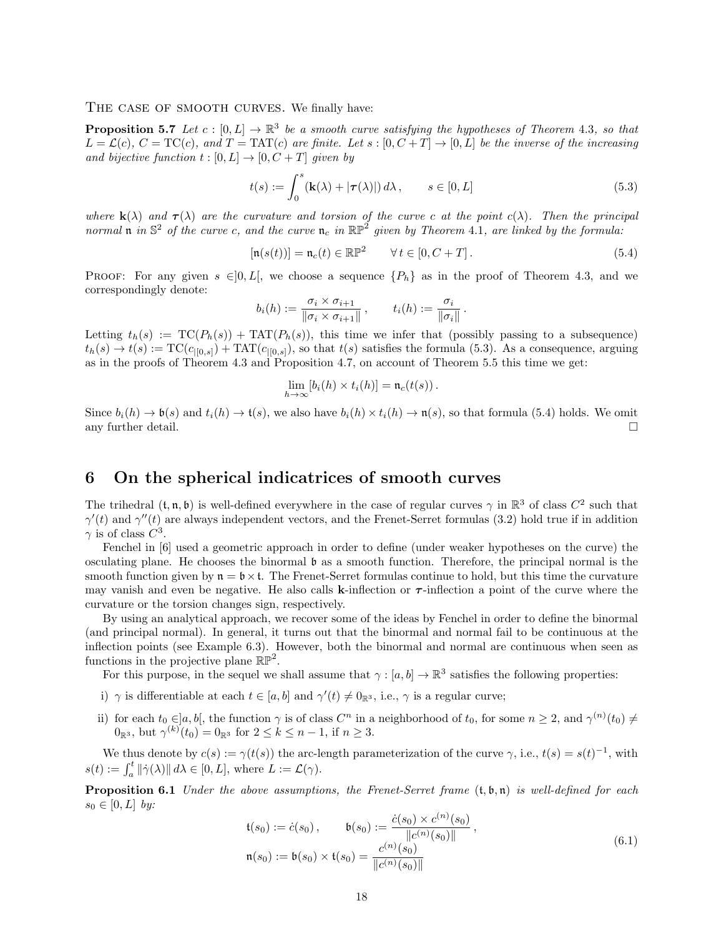#### THE CASE OF SMOOTH CURVES. We finally have:

**Proposition 5.7** Let  $c : [0, L] \to \mathbb{R}^3$  be a smooth curve satisfying the hypotheses of Theorem 4.3, so that  $L = \mathcal{L}(c), C = \text{TC}(c), \text{ and } T = \text{TAT}(c)$  are finite. Let  $s : [0, C + T] \to [0, L]$  be the inverse of the increasing and bijective function  $t : [0, L] \rightarrow [0, C + T]$  given by

$$
t(s) := \int_0^s (\mathbf{k}(\lambda) + |\boldsymbol{\tau}(\lambda)|) d\lambda, \qquad s \in [0, L]
$$
 (5.3)

where  $\mathbf{k}(\lambda)$  and  $\boldsymbol{\tau}(\lambda)$  are the curvature and torsion of the curve c at the point  $c(\lambda)$ . Then the principal normal  $\mathfrak n$  in  $\mathbb S^2$  of the curve c, and the curve  $\mathfrak n_c$  in  $\mathbb{RP}^2$  given by Theorem 4.1, are linked by the formula:

$$
[\mathfrak{n}(s(t))] = \mathfrak{n}_c(t) \in \mathbb{RP}^2 \qquad \forall \, t \in [0, C + T]. \tag{5.4}
$$

PROOF: For any given  $s \in ]0, L[$ , we choose a sequence  $\{P_h\}$  as in the proof of Theorem 4.3, and we correspondingly denote:

$$
b_i(h) := \frac{\sigma_i \times \sigma_{i+1}}{\|\sigma_i \times \sigma_{i+1}\|}, \qquad t_i(h) := \frac{\sigma_i}{\|\sigma_i\|}.
$$

Letting  $t_h(s) := \text{TC}(P_h(s)) + \text{TAT}(P_h(s))$ , this time we infer that (possibly passing to a subsequence)  $t_h(s) \to t(s) := \text{TC}(c_{|[0,s]}) + \text{TAT}(c_{|[0,s]})$ , so that  $t(s)$  satisfies the formula (5.3). As a consequence, arguing as in the proofs of Theorem 4.3 and Proposition 4.7, on account of Theorem 5.5 this time we get:

$$
\lim_{h\to\infty}[b_i(h)\times t_i(h)] = \mathfrak{n}_c(t(s)).
$$

Since  $b_i(h) \to \mathfrak{b}(s)$  and  $t_i(h) \to \mathfrak{t}(s)$ , we also have  $b_i(h) \times t_i(h) \to \mathfrak{n}(s)$ , so that formula (5.4) holds. We omit any further detail.  $\square$ 

# 6 On the spherical indicatrices of smooth curves

The trihedral  $(t, n, b)$  is well-defined everywhere in the case of regular curves  $\gamma$  in  $\mathbb{R}^3$  of class  $C^2$  such that  $\gamma'(t)$  and  $\gamma''(t)$  are always independent vectors, and the Frenet-Serret formulas (3.2) hold true if in addition  $\gamma$  is of class  $C^3$ .

Fenchel in [6] used a geometric approach in order to define (under weaker hypotheses on the curve) the osculating plane. He chooses the binormal b as a smooth function. Therefore, the principal normal is the smooth function given by  $\mathfrak{n} = \mathfrak{b} \times \mathfrak{t}$ . The Frenet-Serret formulas continue to hold, but this time the curvature may vanish and even be negative. He also calls k-inflection or  $\tau$ -inflection a point of the curve where the curvature or the torsion changes sign, respectively.

By using an analytical approach, we recover some of the ideas by Fenchel in order to define the binormal (and principal normal). In general, it turns out that the binormal and normal fail to be continuous at the inflection points (see Example 6.3). However, both the binormal and normal are continuous when seen as functions in the projective plane  $\mathbb{RP}^2$ .

For this purpose, in the sequel we shall assume that  $\gamma : [a, b] \to \mathbb{R}^3$  satisfies the following properties:

- i)  $\gamma$  is differentiable at each  $t \in [a, b]$  and  $\gamma'(t) \neq 0_{\mathbb{R}^3}$ , i.e.,  $\gamma$  is a regular curve;
- ii) for each  $t_0 \in ]a, b[$ , the function  $\gamma$  is of class  $C^n$  in a neighborhood of  $t_0$ , for some  $n \geq 2$ , and  $\gamma^{(n)}(t_0) \neq$  $0_{\mathbb{R}^3}$ , but  $\gamma^{(k)}(t_0) = 0_{\mathbb{R}^3}$  for  $2 \le k \le n - 1$ , if  $n \ge 3$ .

We thus denote by  $c(s) := \gamma(t(s))$  the arc-length parameterization of the curve  $\gamma$ , i.e.,  $t(s) = s(t)^{-1}$ , with  $s(t) := \int_a^t ||\dot{\gamma}(\lambda)|| d\lambda \in [0, L],$  where  $L := \mathcal{L}(\gamma)$ .

**Proposition 6.1** Under the above assumptions, the Frenet-Serret frame  $(t, \mathfrak{b}, \mathfrak{n})$  is well-defined for each  $s_0 \in [0, L]$  by:

$$
\mathfrak{t}(s_0) := \dot{c}(s_0), \qquad \mathfrak{b}(s_0) := \frac{\dot{c}(s_0) \times c^{(n)}(s_0)}{\|c^{(n)}(s_0)\|},
$$
  
\n
$$
\mathfrak{n}(s_0) := \mathfrak{b}(s_0) \times \mathfrak{t}(s_0) = \frac{c^{(n)}(s_0)}{\|c^{(n)}(s_0)\|}
$$
\n(6.1)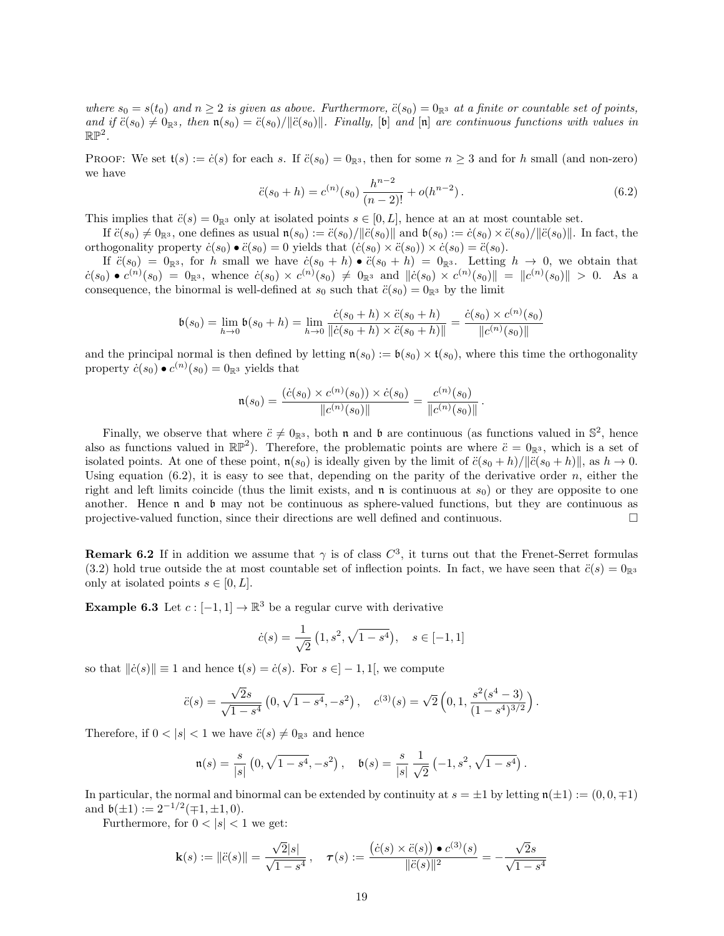where  $s_0 = s(t_0)$  and  $n \geq 2$  is given as above. Furthermore,  $\ddot{c}(s_0) = 0_{\mathbb{R}^3}$  at a finite or countable set of points, and if  $\ddot{c}(s_0) \neq 0_{\mathbb{R}^3}$ , then  $\mathfrak{n}(s_0) = \ddot{c}(s_0)/\|\ddot{c}(s_0)\|$ . Finally, [b] and [n] are continuous functions with values in  $\mathbb{RP}^2$ .

PROOF: We set  $t(s) := \dot{c}(s)$  for each s. If  $\ddot{c}(s_0) = 0_{\mathbb{R}^3}$ , then for some  $n \geq 3$  and for h small (and non-zero) we have

$$
\ddot{c}(s_0 + h) = c^{(n)}(s_0) \frac{h^{n-2}}{(n-2)!} + o(h^{n-2}).
$$
\n(6.2)

This implies that  $\ddot{c}(s) = 0_{\mathbb{R}^3}$  only at isolated points  $s \in [0, L]$ , hence at an at most countable set.

If  $\ddot{c}(s_0) \neq 0_{\mathbb{R}^3}$ , one defines as usual  $\mathfrak{n}(s_0) := \ddot{c}(s_0)/\|\ddot{c}(s_0)\|$  and  $\mathfrak{b}(s_0) := \dot{c}(s_0) \times \ddot{c}(s_0)/\|\ddot{c}(s_0)\|$ . In fact, the orthogonality property  $\dot{c}(s_0) \bullet \ddot{c}(s_0) = 0$  yields that  $(\dot{c}(s_0) \times \ddot{c}(s_0)) \times \dot{c}(s_0) = \ddot{c}(s_0)$ .

If  $\ddot{c}(s_0) = 0_{\mathbb{R}^3}$ , for h small we have  $\dot{c}(s_0 + h) \bullet \ddot{c}(s_0 + h) = 0_{\mathbb{R}^3}$ . Letting  $h \to 0$ , we obtain that  $c(s_0) \bullet c^{(n)}(s_0) = 0_{\mathbb{R}^3}$ , whence  $\dot{c}(s_0) \times c^{(n)}(s_0) \neq 0_{\mathbb{R}^3}$  and  $\|\dot{c}(s_0) \times c^{(n)}(s_0)\| = \|c^{(n)}(s_0)\| > 0$ . As a consequence, the binormal is well-defined at  $s_0$  such that  $\ddot{c}(s_0) = 0_{\mathbb{R}^3}$  by the limit

$$
\mathfrak{b}(s_0) = \lim_{h \to 0} \mathfrak{b}(s_0 + h) = \lim_{h \to 0} \frac{\dot{c}(s_0 + h) \times \ddot{c}(s_0 + h)}{\|\dot{c}(s_0 + h) \times \ddot{c}(s_0 + h)\|} = \frac{\dot{c}(s_0) \times c^{(n)}(s_0)}{\|c^{(n)}(s_0)\|}
$$

and the principal normal is then defined by letting  $\mathfrak{n}(s_0) := \mathfrak{b}(s_0) \times \mathfrak{t}(s_0)$ , where this time the orthogonality property  $\dot{c}(s_0) \bullet c^{(n)}(s_0) = 0$  as yields that

$$
\mathfrak{n}(s_0) = \frac{(\dot{c}(s_0) \times c^{(n)}(s_0)) \times \dot{c}(s_0)}{\|c^{(n)}(s_0)\|} = \frac{c^{(n)}(s_0)}{\|c^{(n)}(s_0)\|}.
$$

Finally, we observe that where  $\ddot{c} \neq 0_{\mathbb{R}^3}$ , both n and b are continuous (as functions valued in  $\mathbb{S}^2$ , hence also as functions valued in  $\mathbb{RP}^2$ ). Therefore, the problematic points are where  $\ddot{c} = 0_{\mathbb{R}^3}$ , which is a set of isolated points. At one of these point,  $n(s_0)$  is ideally given by the limit of  $\ddot{c}(s_0 + h)/\|\ddot{c}(s_0 + h)\|$ , as  $h \to 0$ . Using equation  $(6.2)$ , it is easy to see that, depending on the parity of the derivative order n, either the right and left limits coincide (thus the limit exists, and  $\bf{n}$  is continuous at  $s_0$ ) or they are opposite to one another. Hence  $\mathfrak n$  and  $\mathfrak b$  may not be continuous as sphere-valued functions, but they are continuous as projective-valued function, since their directions are well defined and continuous.

**Remark 6.2** If in addition we assume that  $\gamma$  is of class  $C^3$ , it turns out that the Frenet-Serret formulas (3.2) hold true outside the at most countable set of inflection points. In fact, we have seen that  $\ddot{c}(s) = 0_{\mathbb{R}^3}$ only at isolated points  $s \in [0, L]$ .

**Example 6.3** Let  $c: [-1, 1] \to \mathbb{R}^3$  be a regular curve with derivative

$$
\dot{c}(s) = \frac{1}{\sqrt{2}} \left( 1, s^2, \sqrt{1 - s^4} \right), \quad s \in [-1, 1]
$$

so that  $\|\dot{c}(s)\| \equiv 1$  and hence  $t(s) = \dot{c}(s)$ . For  $s \in ]-1,1[$ , we compute

$$
\ddot{c}(s) = \frac{\sqrt{2}s}{\sqrt{1-s^4}} \left(0, \sqrt{1-s^4}, -s^2\right), \quad c^{(3)}(s) = \sqrt{2} \left(0, 1, \frac{s^2(s^4-3)}{(1-s^4)^{3/2}}\right).
$$

Therefore, if  $0 < |s| < 1$  we have  $\ddot{c}(s) \neq 0_{\mathbb{R}^3}$  and hence

$$
\mathfrak{n}(s) = \frac{s}{|s|} \left(0, \sqrt{1 - s^4}, -s^2\right), \quad \mathfrak{b}(s) = \frac{s}{|s|} \frac{1}{\sqrt{2}} \left(-1, s^2, \sqrt{1 - s^4}\right).
$$

In particular, the normal and binormal can be extended by continuity at  $s = \pm 1$  by letting  $\mathfrak{n}(\pm 1) := (0, 0, \mp 1)$ and  $\mathfrak{b}(\pm 1) := 2^{-1/2}(\mp 1, \pm 1, 0).$ 

Furthermore, for  $0 < |s| < 1$  we get:

$$
\mathbf{k}(s) := \|\ddot{c}(s)\| = \frac{\sqrt{2}|s|}{\sqrt{1-s^4}}, \quad \tau(s) := \frac{(\dot{c}(s) \times \ddot{c}(s)) \bullet c^{(3)}(s)}{\|\ddot{c}(s)\|^2} = -\frac{\sqrt{2}s}{\sqrt{1-s^4}}
$$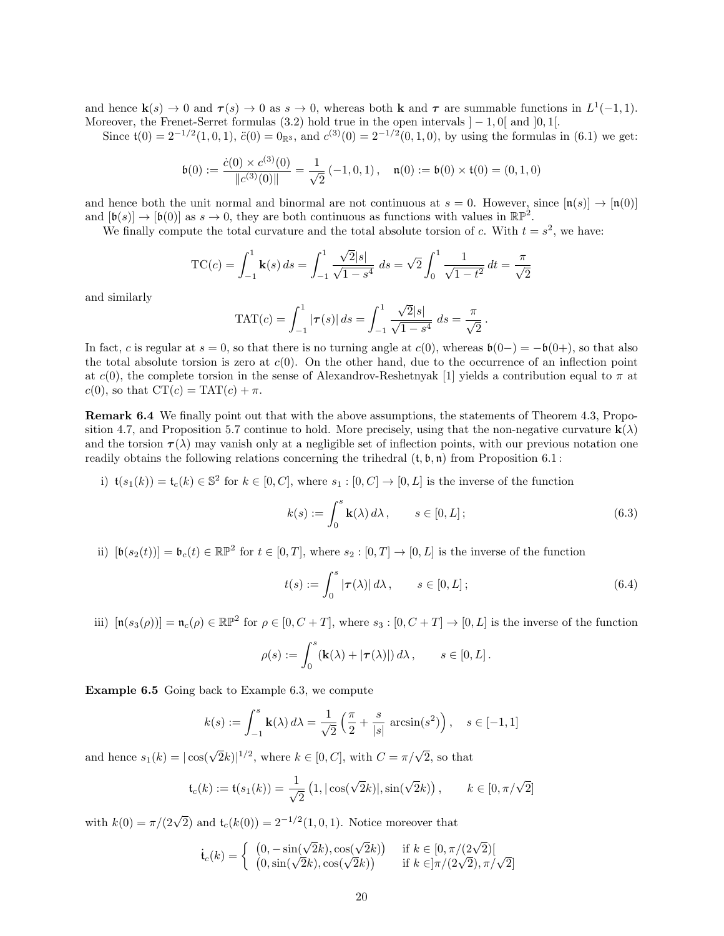and hence  $\mathbf{k}(s) \to 0$  and  $\tau(s) \to 0$  as  $s \to 0$ , whereas both **k** and  $\tau$  are summable functions in  $L^1(-1,1)$ . Moreover, the Frenet-Serret formulas (3.2) hold true in the open intervals  $]-1,0[$  and  $]0,1[$ .

Since  $t(0) = 2^{-1/2}(1,0,1)$ ,  $\ddot{c}(0) = 0_{\mathbb{R}^3}$ , and  $c^{(3)}(0) = 2^{-1/2}(0,1,0)$ , by using the formulas in  $(6.1)$  we get:

$$
\mathfrak{b}(0) := \frac{\dot{c}(0) \times c^{(3)}(0)}{\|c^{(3)}(0)\|} = \frac{1}{\sqrt{2}} (-1, 0, 1), \quad \mathfrak{n}(0) := \mathfrak{b}(0) \times \mathfrak{t}(0) = (0, 1, 0)
$$

and hence both the unit normal and binormal are not continuous at  $s = 0$ . However, since  $[\mathfrak{n}(s)] \to [\mathfrak{n}(0)]$ and  $[\mathfrak{b}(s)] \to [\mathfrak{b}(0)]$  as  $s \to 0$ , they are both continuous as functions with values in  $\mathbb{RP}^2$ .

We finally compute the total curvature and the total absolute torsion of c. With  $t = s^2$ , we have:

$$
TC(c) = \int_{-1}^{1} \mathbf{k}(s) ds = \int_{-1}^{1} \frac{\sqrt{2}|s|}{\sqrt{1 - s^4}} ds = \sqrt{2} \int_{0}^{1} \frac{1}{\sqrt{1 - t^2}} dt = \frac{\pi}{\sqrt{2}}
$$

and similarly

TAT(c) = 
$$
\int_{-1}^{1} |\tau(s)| ds = \int_{-1}^{1} \frac{\sqrt{2}|s|}{\sqrt{1-s^4}} ds = \frac{\pi}{\sqrt{2}}
$$
.

In fact, c is regular at  $s = 0$ , so that there is no turning angle at  $c(0)$ , whereas  $\mathfrak{b}(0-) = -\mathfrak{b}(0+)$ , so that also the total absolute torsion is zero at  $c(0)$ . On the other hand, due to the occurrence of an inflection point at c(0), the complete torsion in the sense of Alexandrov-Reshetnyak [1] yields a contribution equal to  $\pi$  at  $c(0)$ , so that  $CT(c) = TAT(c) + \pi$ .

Remark 6.4 We finally point out that with the above assumptions, the statements of Theorem 4.3, Proposition 4.7, and Proposition 5.7 continue to hold. More precisely, using that the non-negative curvature  $\mathbf{k}(\lambda)$ and the torsion  $\tau(\lambda)$  may vanish only at a negligible set of inflection points, with our previous notation one readily obtains the following relations concerning the trihedral  $(t, \mathfrak{b}, \mathfrak{n})$  from Proposition 6.1 :

i)  $\mathfrak{t}(s_1(k)) = \mathfrak{t}_c(k) \in \mathbb{S}^2$  for  $k \in [0, C]$ , where  $s_1 : [0, C] \to [0, L]$  is the inverse of the function

$$
k(s) := \int_0^s \mathbf{k}(\lambda) d\lambda, \qquad s \in [0, L];
$$
\n(6.3)

ii)  $[\mathfrak{b}(s_2(t))] = \mathfrak{b}_c(t) \in \mathbb{RP}^2$  for  $t \in [0,T]$ , where  $s_2 : [0,T] \to [0,L]$  is the inverse of the function

$$
t(s) := \int_0^s |\boldsymbol{\tau}(\lambda)| d\lambda, \qquad s \in [0, L]; \tag{6.4}
$$

iii)  $[\mathfrak{n}(s_3(\rho))] = \mathfrak{n}_c(\rho) \in \mathbb{RP}^2$  for  $\rho \in [0, C + T]$ , where  $s_3 : [0, C + T] \to [0, L]$  is the inverse of the function

$$
\rho(s) := \int_0^s (\mathbf{k}(\lambda) + |\boldsymbol{\tau}(\lambda)|) d\lambda, \qquad s \in [0, L].
$$

Example 6.5 Going back to Example 6.3, we compute

$$
k(s) := \int_{-1}^{s} \mathbf{k}(\lambda) d\lambda = \frac{1}{\sqrt{2}} \left( \frac{\pi}{2} + \frac{s}{|s|} \arcsin(s^2) \right), \quad s \in [-1, 1]
$$

and hence  $s_1(k) = |\cos(\sqrt{2k})|^{1/2}$ , where  $k \in [0, C]$ , with  $C = \pi/\sqrt{2}$ , so that

$$
\mathfrak{t}_c(k) := \mathfrak{t}(s_1(k)) = \frac{1}{\sqrt{2}} (1, |\cos(\sqrt{2}k)|, \sin(\sqrt{2}k)), \qquad k \in [0, \pi/\sqrt{2}]
$$

with  $k(0) = \pi/(2\sqrt{2})$  and  $\mathfrak{t}_c(k(0)) = 2^{-1/2}(1,0,1)$ . Notice moreover that

$$
\dot{\mathfrak{t}}_c(k) = \begin{cases} (0, -\sin(\sqrt{2}k), \cos(\sqrt{2}k)) & \text{if } k \in [0, \pi/(2\sqrt{2})[\\ (0, \sin(\sqrt{2}k), \cos(\sqrt{2}k)) & \text{if } k \in ]\pi/(2\sqrt{2}), \pi/\sqrt{2}] \end{cases}
$$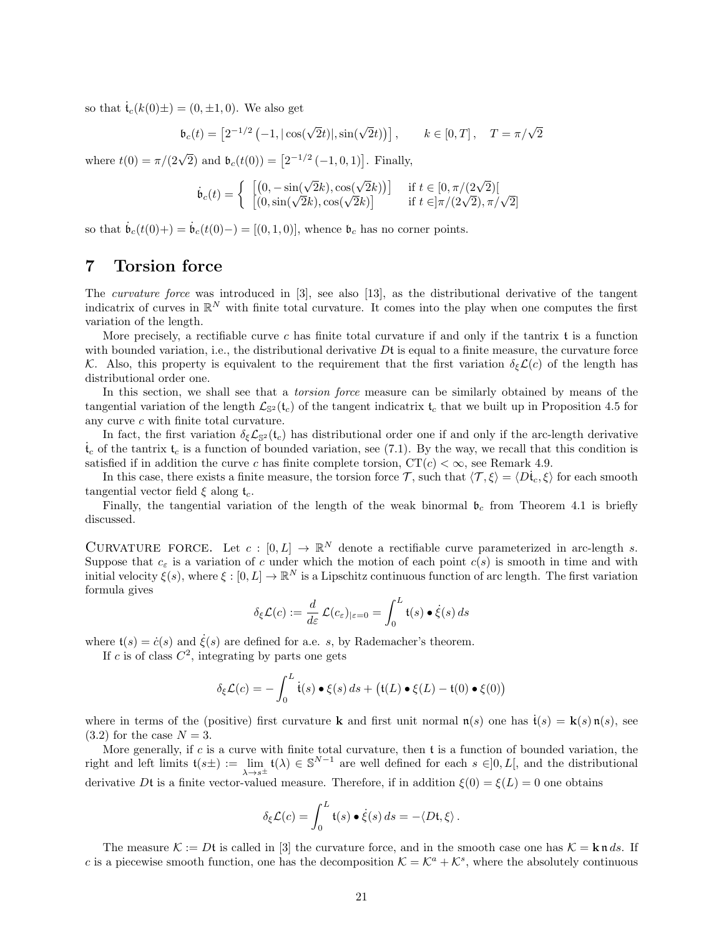so that  $\mathfrak{t}_c(k(0)\pm) = (0,\pm 1,0)$ . We also get

$$
\mathfrak{b}_c(t) = \left[2^{-1/2} \left(-1, |\cos(\sqrt{2}t)|, \sin(\sqrt{2}t)\right)\right], \qquad k \in [0, T], \quad T = \pi/\sqrt{2}
$$

where  $t(0) = \pi/(2\sqrt{2})$  and  $\mathfrak{b}_c(t(0)) = [2^{-1/2}(-1,0,1)].$  Finally,

$$
\dot{\mathfrak{b}}_c(t) = \left\{ \begin{array}{ll} \left[ (0, -\sin(\sqrt{2}k), \cos(\sqrt{2}k)) \right] & \text{if } t \in [0, \pi/(2\sqrt{2})] \\ \left[ (0, \sin(\sqrt{2}k), \cos(\sqrt{2}k) \right] & \text{if } t \in ]\pi/(2\sqrt{2}), \pi/\sqrt{2}] \end{array} \right.
$$

so that  $\dot{\mathfrak{b}}_c(t(0+)) = \dot{\mathfrak{b}}_c(t(0))-$  = [(0, 1, 0)], whence  $\mathfrak{b}_c$  has no corner points.

# 7 Torsion force

The curvature force was introduced in [3], see also [13], as the distributional derivative of the tangent indicatrix of curves in  $\mathbb{R}^N$  with finite total curvature. It comes into the play when one computes the first variation of the length.

More precisely, a rectifiable curve c has finite total curvature if and only if the tantrix  $\mathfrak t$  is a function with bounded variation, i.e., the distributional derivative  $Df$  is equal to a finite measure, the curvature force K. Also, this property is equivalent to the requirement that the first variation  $\delta_{\epsilon}\mathcal{L}(c)$  of the length has distributional order one.

In this section, we shall see that a *torsion force* measure can be similarly obtained by means of the tangential variation of the length  $\mathcal{L}_{\mathbb{S}^2}(\mathfrak{t}_c)$  of the tangent indicatrix  $\mathfrak{t}_c$  that we built up in Proposition 4.5 for any curve c with finite total curvature.

In fact, the first variation  $\delta_{\xi} \mathcal{L}_{\mathbb{S}^2}(\mathfrak{t}_c)$  has distributional order one if and only if the arc-length derivative  $\dot{\mathbf{t}}_c$  of the tantrix  $\mathbf{t}_c$  is a function of bounded variation, see (7.1). By the way, we recall that this condition is satisfied if in addition the curve c has finite complete torsion,  $CT(c) < \infty$ , see Remark 4.9.

In this case, there exists a finite measure, the torsion force T, such that  $\langle \mathcal{T}, \xi \rangle = \langle D\mathfrak{t}_c, \xi \rangle$  for each smooth tangential vector field  $\xi$  along  $t_c$ .

Finally, the tangential variation of the length of the weak binormal  $\mathfrak{b}_c$  from Theorem 4.1 is briefly discussed.

CURVATURE FORCE. Let  $c : [0, L] \to \mathbb{R}^N$  denote a rectifiable curve parameterized in arc-length s. Suppose that  $c_{\varepsilon}$  is a variation of c under which the motion of each point  $c(s)$  is smooth in time and with initial velocity  $\xi(s)$ , where  $\xi : [0, L] \to \mathbb{R}^N$  is a Lipschitz continuous function of arc length. The first variation formula gives

$$
\delta_{\xi}\mathcal{L}(c):=\frac{d}{d\varepsilon}\,\mathcal{L}(c_{\varepsilon})_{|\varepsilon=0}=\int_0^L \mathfrak{t}(s)\bullet\dot{\xi}(s)\,ds
$$

where  $t(s) = \dot{c}(s)$  and  $\dot{\xi}(s)$  are defined for a.e. s, by Rademacher's theorem.

If c is of class  $C^2$ , integrating by parts one gets

$$
\delta_{\xi}\mathcal{L}(c) = -\int_0^L \dot{\mathfrak{t}}(s) \bullet \xi(s) \, ds + \big(\mathfrak{t}(L) \bullet \xi(L) - \mathfrak{t}(0) \bullet \xi(0)\big)
$$

where in terms of the (positive) first curvature k and first unit normal  $\mathfrak{n}(s)$  one has  $\dot{\mathfrak{t}}(s) = \mathbf{k}(s) \mathfrak{n}(s)$ , see  $(3.2)$  for the case  $N = 3$ .

More generally, if c is a curve with finite total curvature, then  $t$  is a function of bounded variation, the right and left limits  $\mathfrak{t}(s\pm) := \lim_{\lambda \to s^{\pm}} \mathfrak{t}(\lambda) \in \mathbb{S}^{N-1}$  are well defined for each  $s \in ]0, L[$ , and the distributional derivative Dt is a finite vector-valued measure. Therefore, if in addition  $\xi(0) = \xi(L) = 0$  one obtains

$$
\delta_{\xi}\mathcal{L}(c) = \int_0^L \mathfrak{t}(s) \bullet \dot{\xi}(s) \, ds = -\langle D\mathfrak{t}, \xi \rangle \, .
$$

The measure  $\mathcal{K} := Df$  is called in [3] the curvature force, and in the smooth case one has  $\mathcal{K} = \mathbf{k} \cdot \mathbf{n} ds$ . If c is a piecewise smooth function, one has the decomposition  $\mathcal{K} = \mathcal{K}^a + \mathcal{K}^s$ , where the absolutely continuous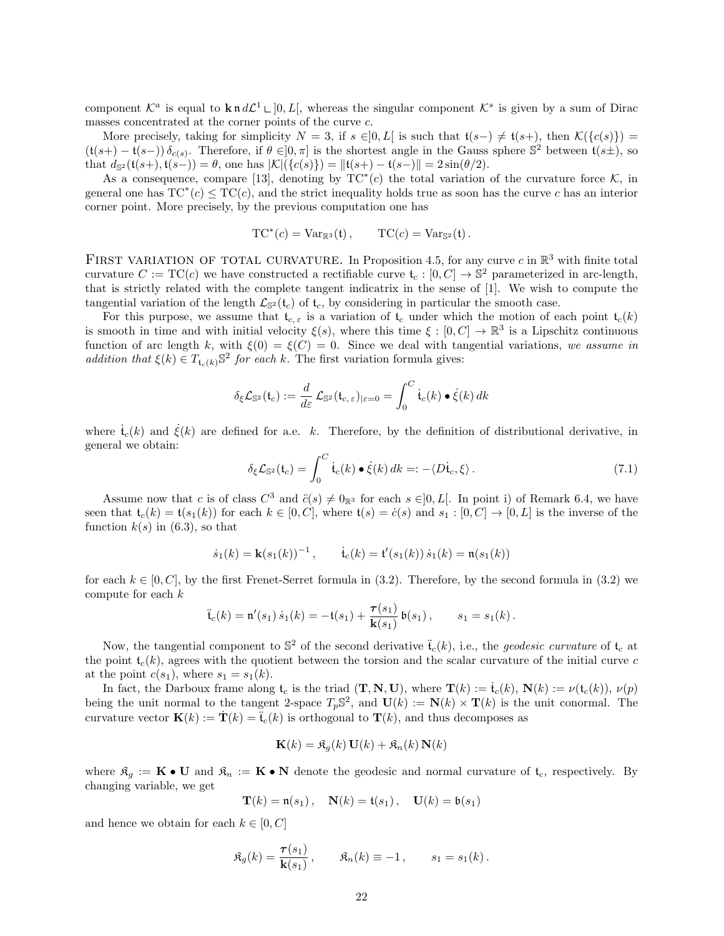component  $\mathcal{K}^a$  is equal to  $\mathbf{k} \cdot \mathbf{n} d\mathcal{L}^1 \cup [0, L],$  whereas the singular component  $\mathcal{K}^s$  is given by a sum of Dirac masses concentrated at the corner points of the curve c.

More precisely, taking for simplicity  $N = 3$ , if  $s \in ]0, L[$  is such that  $\mathfrak{t}(s-) \neq \mathfrak{t}(s+)$ , then  $\mathcal{K}(\{c(s)\})$  =  $(t(s+) - t(s-)) \delta_{c(s)}$ . Therefore, if  $\theta \in ]0, \pi]$  is the shortest angle in the Gauss sphere  $\mathbb{S}^2$  between  $t(s\pm)$ , so that  $d_{\mathbb{S}^2}(\mathfrak{t}(s+),\mathfrak{t}(s-)) = \theta$ , one has  $|\mathcal{K}|(\{c(s)\}) = ||\mathfrak{t}(s+)-\mathfrak{t}(s-)|| = 2\sin(\theta/2)$ .

As a consequence, compare [13], denoting by  $TC^*(c)$  the total variation of the curvature force K, in general one has  $TC^*(c) \le TC(c)$ , and the strict inequality holds true as soon has the curve c has an interior corner point. More precisely, by the previous computation one has

$$
TC^*(c) = Var_{\mathbb{R}^3}(t), \qquad TC(c) = Var_{\mathbb{S}^2}(t).
$$

FIRST VARIATION OF TOTAL CURVATURE. In Proposition 4.5, for any curve c in  $\mathbb{R}^3$  with finite total curvature  $C := TC(c)$  we have constructed a rectifiable curve  $\mathfrak{t}_c : [0, C] \to \mathbb{S}^2$  parameterized in arc-length, that is strictly related with the complete tangent indicatrix in the sense of [1]. We wish to compute the tangential variation of the length  $\mathcal{L}_{\mathbb{S}^2}(\mathfrak{t}_c)$  of  $\mathfrak{t}_c$ , by considering in particular the smooth case.

For this purpose, we assume that  $t_{c,\varepsilon}$  is a variation of  $t_c$  under which the motion of each point  $t_c(k)$ is smooth in time and with initial velocity  $\xi(s)$ , where this time  $\xi : [0, C] \to \mathbb{R}^3$  is a Lipschitz continuous function of arc length k, with  $\xi(0) = \xi(C) = 0$ . Since we deal with tangential variations, we assume in addition that  $\xi(k) \in T_{t_c(k)} \mathbb{S}^2$  for each k. The first variation formula gives:

$$
\delta_{\xi} \mathcal{L}_{\mathbb{S}^2}(\mathfrak{t}_c) := \frac{d}{d\varepsilon} \mathcal{L}_{\mathbb{S}^2}(\mathfrak{t}_{c,\,\varepsilon})_{|\varepsilon=0} = \int_0^C \dot{\mathfrak{t}}_c(k) \bullet \dot{\xi}(k) \, dk
$$

where  $\dot{\mathbf{t}}_c(k)$  and  $\xi(k)$  are defined for a.e. k. Therefore, by the definition of distributional derivative, in general we obtain:

$$
\delta_{\xi} \mathcal{L}_{\mathbb{S}^2}(\mathfrak{t}_c) = \int_0^C \dot{\mathfrak{t}}_c(k) \bullet \dot{\xi}(k) \, dk =: -\langle D\dot{\mathfrak{t}}_c, \xi \rangle \,. \tag{7.1}
$$

Assume now that c is of class  $C^3$  and  $\ddot{c}(s) \neq 0_{\mathbb{R}^3}$  for each  $s \in ]0, L[$ . In point i) of Remark 6.4, we have seen that  $t_c(k) = t(s_1(k))$  for each  $k \in [0, C]$ , where  $t(s) = \dot{c}(s)$  and  $s_1 : [0, C] \rightarrow [0, L]$  is the inverse of the function  $k(s)$  in (6.3), so that

$$
\dot{s}_1(k) = \mathbf{k}(s_1(k))^{-1}, \qquad \dot{t}_c(k) = \mathbf{t}'(s_1(k)) \dot{s}_1(k) = \mathbf{n}(s_1(k))
$$

for each  $k \in [0, C]$ , by the first Frenet-Serret formula in (3.2). Therefore, by the second formula in (3.2) we compute for each k

$$
\ddot{\mathbf{t}}_c(k) = \mathfrak{n}'(s_1) \dot{s}_1(k) = -\mathfrak{t}(s_1) + \frac{\tau(s_1)}{\mathbf{k}(s_1)} \mathfrak{b}(s_1), \qquad s_1 = s_1(k).
$$

Now, the tangential component to  $\mathbb{S}^2$  of the second derivative  $\ddot{\mathfrak{t}}_c(k)$ , i.e., the *geodesic curvature* of  $\mathfrak{t}_c$  at the point  $t_c(k)$ , agrees with the quotient between the torsion and the scalar curvature of the initial curve c at the point  $c(s_1)$ , where  $s_1 = s_1(k)$ .

In fact, the Darboux frame along  $\mathfrak{t}_c$  is the triad  $(\mathbf{T}, \mathbf{N}, \mathbf{U})$ , where  $\mathbf{T}(k) := \mathfrak{t}_c(k)$ ,  $\mathbf{N}(k) := \nu(\mathfrak{t}_c(k))$ ,  $\nu(p)$ being the unit normal to the tangent 2-space  $T_p\mathbb{S}^2$ , and  $\mathbf{U}(k) := \mathbf{N}(k) \times \mathbf{T}(k)$  is the unit conormal. The curvature vector  $\mathbf{K}(k) := \mathbf{T}(k) = \mathbf{\ddot{t}}_{c}(k)$  is orthogonal to  $\mathbf{T}(k)$ , and thus decomposes as

$$
\mathbf{K}(k) = \mathfrak{K}_g(k)\,\mathbf{U}(k) + \mathfrak{K}_n(k)\,\mathbf{N}(k)
$$

where  $\mathfrak{K}_g := \mathbf{K} \bullet \mathbf{U}$  and  $\mathfrak{K}_n := \mathbf{K} \bullet \mathbf{N}$  denote the geodesic and normal curvature of  $\mathfrak{t}_c$ , respectively. By changing variable, we get

$$
\mathbf{T}(k) = \mathfrak{n}(s_1), \quad \mathbf{N}(k) = \mathfrak{t}(s_1), \quad \mathbf{U}(k) = \mathfrak{b}(s_1)
$$

and hence we obtain for each  $k \in [0, C]$ 

$$
\mathfrak{K}_g(k) = \frac{\boldsymbol{\tau}(s_1)}{\mathbf{k}(s_1)}, \qquad \mathfrak{K}_n(k) \equiv -1, \qquad s_1 = s_1(k).
$$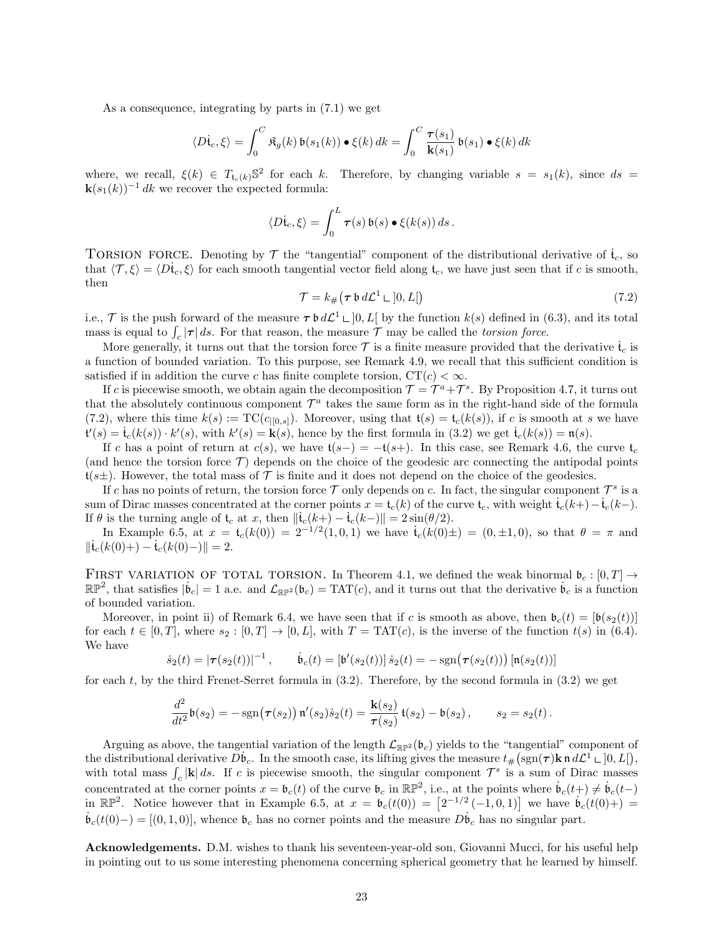As a consequence, integrating by parts in (7.1) we get

$$
\langle D\dot{\mathbf{t}}_c, \xi \rangle = \int_0^C \mathfrak{K}_g(k) \, \mathfrak{b}(s_1(k)) \bullet \xi(k) \, dk = \int_0^C \frac{\tau(s_1)}{\mathbf{k}(s_1)} \, \mathfrak{b}(s_1) \bullet \xi(k) \, dk
$$

where, we recall,  $\xi(k) \in T_{t_c(k)} \mathbb{S}^2$  for each k. Therefore, by changing variable  $s = s_1(k)$ , since  $ds =$  $\mathbf{k}(s_1(k))^{-1}$  dk we recover the expected formula:

$$
\langle D\dot{\mathfrak{t}}_c,\xi\rangle=\int_0^L\boldsymbol{\tau}(s)\,\mathfrak{b}(s)\bullet\xi(k(s))\,ds\,.
$$

TORSION FORCE. Denoting by  $\mathcal T$  the "tangential" component of the distributional derivative of  $\mathfrak{t}_c$ , so that  $\langle \mathcal{T}, \xi \rangle = \langle D\dot{t}_c, \xi \rangle$  for each smooth tangential vector field along  $t_c$ , we have just seen that if c is smooth, then

$$
\mathcal{T} = k_{\#}(\tau \mathbin{\mathfrak{b}} d\mathcal{L}^1 \sqcup ]0, L[)
$$
\n<sup>(7.2)</sup>

i.e., T is the push forward of the measure  $\tau \mathfrak{b} d\mathcal{L}^1 \square [0,L]$  by the function  $k(s)$  defined in (6.3), and its total mass is equal to  $\int_c |\tau| ds$ . For that reason, the measure  $\mathcal T$  may be called the *torsion force*.

More generally, it turns out that the torsion force  $\mathcal T$  is a finite measure provided that the derivative  $\mathfrak{t}_c$  is a function of bounded variation. To this purpose, see Remark 4.9, we recall that this sufficient condition is satisfied if in addition the curve c has finite complete torsion,  $CT(c) < \infty$ .

If c is piecewise smooth, we obtain again the decomposition  $\mathcal{T} = \mathcal{T}^a + \mathcal{T}^s$ . By Proposition 4.7, it turns out that the absolutely continuous component  $\mathcal{T}^a$  takes the same form as in the right-hand side of the formula (7.2), where this time  $k(s) := \text{TC}(c_{|[0,s]})$ . Moreover, using that  $\mathfrak{t}(s) = \mathfrak{t}_c(k(s))$ , if c is smooth at s we have  $\mathbf{t}'(s) = \dot{\mathbf{t}}_c(k(s)) \cdot k'(s)$ , with  $k'(s) = \mathbf{k}(s)$ , hence by the first formula in (3.2) we get  $\dot{\mathbf{t}}_c(k(s)) = \mathbf{n}(s)$ .

If c has a point of return at  $c(s)$ , we have  $t(s-) = -t(s+)$ . In this case, see Remark 4.6, the curve  $t_c$ (and hence the torsion force  $\mathcal{T}$ ) depends on the choice of the geodesic arc connecting the antipodal points  $t(s\pm)$ . However, the total mass of T is finite and it does not depend on the choice of the geodesics.

If c has no points of return, the torsion force  $\mathcal T$  only depends on c. In fact, the singular component  $\mathcal T^s$  is a sum of Dirac masses concentrated at the corner points  $x = t_c(k)$  of the curve  $t_c$ , with weight  $\dot{t}_c(k+) - \dot{t}_c(k-)$ . If  $\theta$  is the turning angle of  $t_c$  at x, then  $\|\dot{t}_c(k+) - \dot{t}_c(k-) \| = 2 \sin(\theta/2)$ .

In Example 6.5, at  $x = t_c(k(0)) = 2^{-1/2}(1, 0, 1)$  we have  $\dot{t}_c(k(0) \pm) = (0, \pm 1, 0)$ , so that  $\theta = \pi$  and  $\|\mathfrak{t}_{c}(k(0)+)-\mathfrak{t}_{c}(k(0)-)\|=2.$ 

FIRST VARIATION OF TOTAL TORSION. In Theorem 4.1, we defined the weak binormal  $\mathfrak{b}_c : [0, T] \rightarrow$  $\mathbb{RP}^2$ , that satisfies  $|\dot{\mathbf{b}}_c| = 1$  a.e. and  $\mathcal{L}_{\mathbb{RP}^2}(\mathbf{b}_c) = \text{TAT}(c)$ , and it turns out that the derivative  $\dot{\mathbf{b}}_c$  is a function of bounded variation.

Moreover, in point ii) of Remark 6.4, we have seen that if c is smooth as above, then  $\mathfrak{b}_c(t) = [\mathfrak{b}(s_2(t))]$ for each  $t \in [0, T]$ , where  $s_2 : [0, T] \to [0, L]$ , with  $T = TAT(c)$ , is the inverse of the function  $t(s)$  in (6.4). We have

$$
\dot{s}_2(t) = |\tau(s_2(t))|^{-1}, \qquad \dot{b}_c(t) = [\mathfrak{b}'(s_2(t))] \dot{s}_2(t) = -\operatorname{sgn}(\tau(s_2(t))) [\mathfrak{n}(s_2(t))]
$$

for each t, by the third Frenet-Serret formula in (3.2). Therefore, by the second formula in (3.2) we get

$$
\frac{d^2}{dt^2}\mathfrak{b}(s_2) = -\operatorname{sgn}(\tau(s_2))\,\mathfrak{n}'(s_2)\dot{s}_2(t) = \frac{\mathbf{k}(s_2)}{\tau(s_2)}\,\mathfrak{t}(s_2) - \mathfrak{b}(s_2)\,,\qquad s_2 = s_2(t)\,.
$$

Arguing as above, the tangential variation of the length  $\mathcal{L}_{\mathbb{R}P^2}(\mathfrak{b}_c)$  yields to the "tangential" component of the distributional derivative  $\tilde{D} \dot{b}_c$ . In the smooth case, its lifting gives the measure  $t_{\#}(sgn(\tau) \mathbf{k} \cdot \mathbf{n} \cdot d\mathcal{L}^1 \sqcup [0, L]),$ with total mass  $\int_c |\mathbf{k}| ds$ . If c is piecewise smooth, the singular component  $\mathcal{T}^s$  is a sum of Dirac masses concentrated at the corner points  $x = \mathfrak{b}_c(t)$  of the curve  $\mathfrak{b}_c$  in  $\mathbb{RP}^2$ , i.e., at the points where  $\mathfrak{b}_c(t+) \neq \mathfrak{b}_c(t-)$ in  $\mathbb{RP}^2$ . Notice however that in Example 6.5, at  $x = \mathfrak{b}_c(t(0)) = [2^{-1/2}(-1,0,1)]$  we have  $\mathfrak{b}_c(t(0)) = \mathfrak{b}_c(t(0))$  $\mathfrak{b}_{c}(t(0)-) = [(0,1,0)],$  whence  $\mathfrak{b}_{c}$  has no corner points and the measure  $D\mathfrak{b}_{c}$  has no singular part.

Acknowledgements. D.M. wishes to thank his seventeen-year-old son, Giovanni Mucci, for his useful help in pointing out to us some interesting phenomena concerning spherical geometry that he learned by himself.